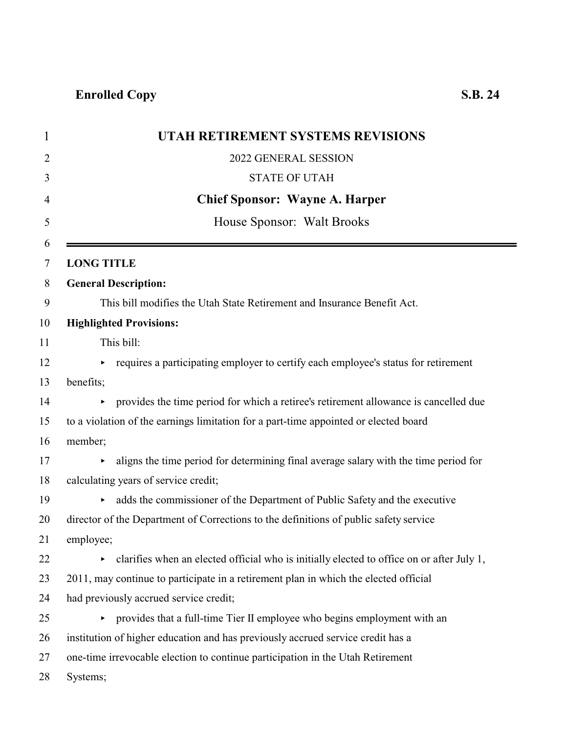| UTAH RETIREMENT SYSTEMS REVISIONS                                                                   |  |
|-----------------------------------------------------------------------------------------------------|--|
| 2022 GENERAL SESSION                                                                                |  |
| <b>STATE OF UTAH</b>                                                                                |  |
| <b>Chief Sponsor: Wayne A. Harper</b>                                                               |  |
| House Sponsor: Walt Brooks                                                                          |  |
| <b>LONG TITLE</b>                                                                                   |  |
| <b>General Description:</b>                                                                         |  |
| This bill modifies the Utah State Retirement and Insurance Benefit Act.                             |  |
| <b>Highlighted Provisions:</b>                                                                      |  |
| This bill:                                                                                          |  |
| requires a participating employer to certify each employee's status for retirement                  |  |
| benefits;                                                                                           |  |
| provides the time period for which a retiree's retirement allowance is cancelled due                |  |
| to a violation of the earnings limitation for a part-time appointed or elected board                |  |
| member;                                                                                             |  |
| aligns the time period for determining final average salary with the time period for                |  |
| calculating years of service credit;                                                                |  |
| adds the commissioner of the Department of Public Safety and the executive<br>$\blacktriangleright$ |  |
| director of the Department of Corrections to the definitions of public safety service               |  |
| employee;                                                                                           |  |
| clarifies when an elected official who is initially elected to office on or after July 1,<br>×      |  |
| 2011, may continue to participate in a retirement plan in which the elected official                |  |
| had previously accrued service credit;                                                              |  |
| • provides that a full-time Tier II employee who begins employment with an                          |  |
| institution of higher education and has previously accrued service credit has a                     |  |
| one-time irrevocable election to continue participation in the Utah Retirement                      |  |
| Systems;                                                                                            |  |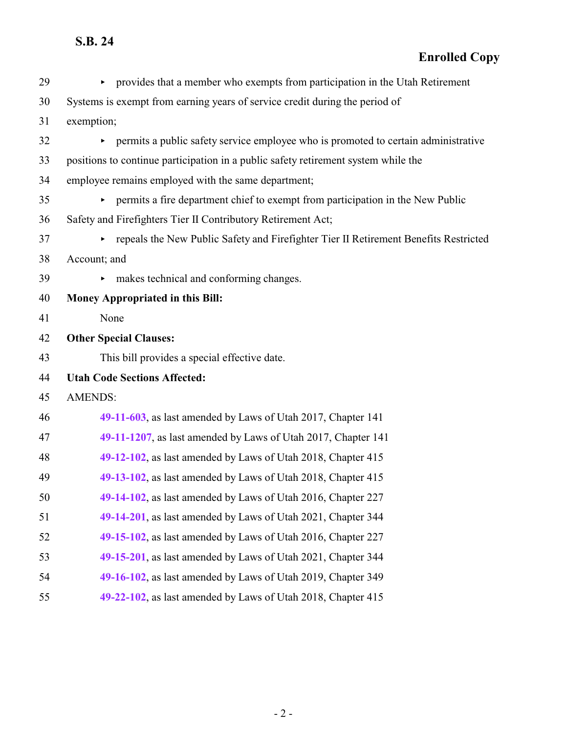| 29 | • provides that a member who exempts from participation in the Utah Retirement         |
|----|----------------------------------------------------------------------------------------|
| 30 | Systems is exempt from earning years of service credit during the period of            |
| 31 | exemption;                                                                             |
| 32 | • permits a public safety service employee who is promoted to certain administrative   |
| 33 | positions to continue participation in a public safety retirement system while the     |
| 34 | employee remains employed with the same department;                                    |
| 35 | permits a fire department chief to exempt from participation in the New Public         |
| 36 | Safety and Firefighters Tier II Contributory Retirement Act;                           |
| 37 | • repeals the New Public Safety and Firefighter Tier II Retirement Benefits Restricted |
| 38 | Account; and                                                                           |
| 39 | makes technical and conforming changes.<br>►                                           |
| 40 | Money Appropriated in this Bill:                                                       |
| 41 | None                                                                                   |
| 42 | <b>Other Special Clauses:</b>                                                          |
| 43 | This bill provides a special effective date.                                           |
| 44 | <b>Utah Code Sections Affected:</b>                                                    |
| 45 | <b>AMENDS:</b>                                                                         |
| 46 | 49-11-603, as last amended by Laws of Utah 2017, Chapter 141                           |
| 47 | 49-11-1207, as last amended by Laws of Utah 2017, Chapter 141                          |
| 48 | 49-12-102, as last amended by Laws of Utah 2018, Chapter 415                           |
| 49 | 49-13-102, as last amended by Laws of Utah 2018, Chapter 415                           |
| 50 | 49-14-102, as last amended by Laws of Utah 2016, Chapter 227                           |
| 51 | 49-14-201, as last amended by Laws of Utah 2021, Chapter 344                           |
| 52 | 49-15-102, as last amended by Laws of Utah 2016, Chapter 227                           |
| 53 | 49-15-201, as last amended by Laws of Utah 2021, Chapter 344                           |
| 54 | 49-16-102, as last amended by Laws of Utah 2019, Chapter 349                           |
| 55 | 49-22-102, as last amended by Laws of Utah 2018, Chapter 415                           |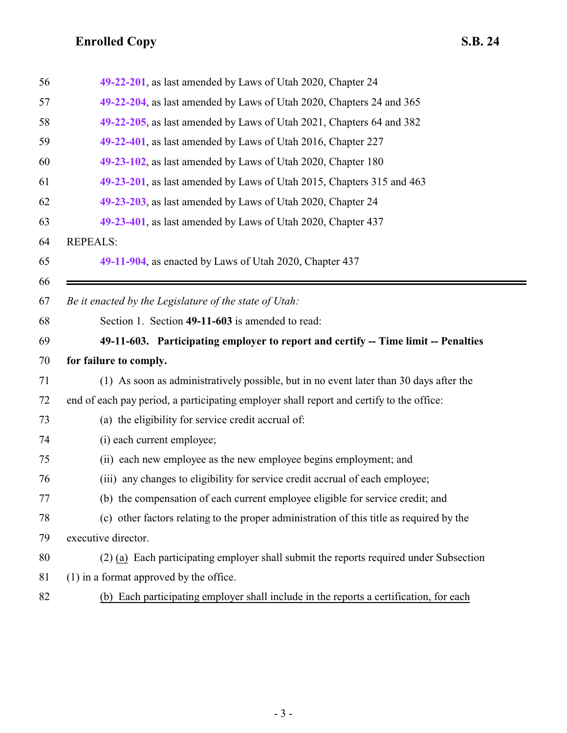<span id="page-2-0"></span>

| 56 | 49-22-201, as last amended by Laws of Utah 2020, Chapter 24                              |
|----|------------------------------------------------------------------------------------------|
| 57 | 49-22-204, as last amended by Laws of Utah 2020, Chapters 24 and 365                     |
| 58 | 49-22-205, as last amended by Laws of Utah 2021, Chapters 64 and 382                     |
| 59 | 49-22-401, as last amended by Laws of Utah 2016, Chapter 227                             |
| 60 | 49-23-102, as last amended by Laws of Utah 2020, Chapter 180                             |
| 61 | 49-23-201, as last amended by Laws of Utah 2015, Chapters 315 and 463                    |
| 62 | 49-23-203, as last amended by Laws of Utah 2020, Chapter 24                              |
| 63 | 49-23-401, as last amended by Laws of Utah 2020, Chapter 437                             |
| 64 | <b>REPEALS:</b>                                                                          |
| 65 | 49-11-904, as enacted by Laws of Utah 2020, Chapter 437                                  |
| 66 |                                                                                          |
| 67 | Be it enacted by the Legislature of the state of Utah:                                   |
| 68 | Section 1. Section 49-11-603 is amended to read:                                         |
| 69 | 49-11-603. Participating employer to report and certify -- Time limit -- Penalties       |
| 70 | for failure to comply.                                                                   |
| 71 | (1) As soon as administratively possible, but in no event later than 30 days after the   |
| 72 | end of each pay period, a participating employer shall report and certify to the office: |
| 73 | (a) the eligibility for service credit accrual of:                                       |
| 74 | (i) each current employee;                                                               |
| 75 | (ii) each new employee as the new employee begins employment; and                        |
| 76 | (iii) any changes to eligibility for service credit accrual of each employee;            |
| 77 | (b) the compensation of each current employee eligible for service credit; and           |
| 78 | (c) other factors relating to the proper administration of this title as required by the |
| 79 | executive director.                                                                      |
| 80 | (2) (a) Each participating employer shall submit the reports required under Subsection   |
| 81 | $(1)$ in a format approved by the office.                                                |
| 82 | (b) Each participating employer shall include in the reports a certification, for each   |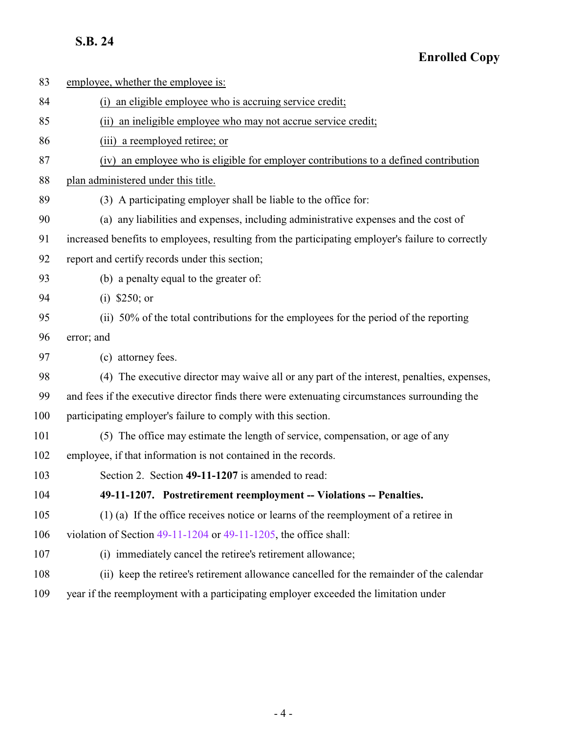### **Enrolled Copy**

| 83  | employee, whether the employee is:                                                                |
|-----|---------------------------------------------------------------------------------------------------|
| 84  | (i) an eligible employee who is accruing service credit;                                          |
| 85  | (ii) an ineligible employee who may not accrue service credit;                                    |
| 86  | (iii) a reemployed retiree; or                                                                    |
| 87  | (iv) an employee who is eligible for employer contributions to a defined contribution             |
| 88  | plan administered under this title.                                                               |
| 89  | (3) A participating employer shall be liable to the office for:                                   |
| 90  | (a) any liabilities and expenses, including administrative expenses and the cost of               |
| 91  | increased benefits to employees, resulting from the participating employer's failure to correctly |
| 92  | report and certify records under this section;                                                    |
| 93  | (b) a penalty equal to the greater of:                                                            |
| 94  | (i) $$250; or$                                                                                    |
| 95  | (ii) 50% of the total contributions for the employees for the period of the reporting             |
| 96  | error; and                                                                                        |
| 97  | (c) attorney fees.                                                                                |
| 98  | (4) The executive director may waive all or any part of the interest, penalties, expenses,        |
| 99  | and fees if the executive director finds there were extenuating circumstances surrounding the     |
| 100 | participating employer's failure to comply with this section.                                     |
| 101 | (5) The office may estimate the length of service, compensation, or age of any                    |
| 102 | employee, if that information is not contained in the records.                                    |
| 103 | Section 2. Section 49-11-1207 is amended to read:                                                 |
| 104 | 49-11-1207. Postretirement reemployment -- Violations -- Penalties.                               |
| 105 | $(1)$ (a) If the office receives notice or learns of the reemployment of a retiree in             |
| 106 | violation of Section $49-11-1204$ or $49-11-1205$ , the office shall:                             |
| 107 | (i) immediately cancel the retiree's retirement allowance;                                        |
| 108 | (ii) keep the retiree's retirement allowance cancelled for the remainder of the calendar          |
|     |                                                                                                   |

<span id="page-3-0"></span>year if the reemployment with a participating employer exceeded the limitation under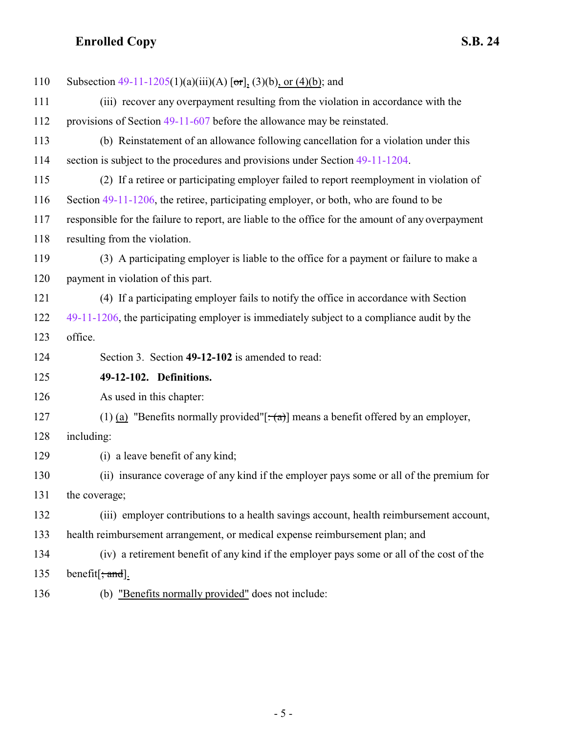<span id="page-4-0"></span>

| 110 | Subsection $49-11-1205(1)(a)(iii)(A)$ [or], (3)(b), or (4)(b); and                                |
|-----|---------------------------------------------------------------------------------------------------|
| 111 | (iii) recover any overpayment resulting from the violation in accordance with the                 |
| 112 | provisions of Section 49-11-607 before the allowance may be reinstated.                           |
| 113 | (b) Reinstatement of an allowance following cancellation for a violation under this               |
| 114 | section is subject to the procedures and provisions under Section 49-11-1204.                     |
| 115 | (2) If a retiree or participating employer failed to report reemployment in violation of          |
| 116 | Section 49-11-1206, the retiree, participating employer, or both, who are found to be             |
| 117 | responsible for the failure to report, are liable to the office for the amount of any overpayment |
| 118 | resulting from the violation.                                                                     |
| 119 | (3) A participating employer is liable to the office for a payment or failure to make a           |
| 120 | payment in violation of this part.                                                                |
| 121 | (4) If a participating employer fails to notify the office in accordance with Section             |
| 122 | 49-11-1206, the participating employer is immediately subject to a compliance audit by the        |
| 123 | office.                                                                                           |
| 124 | Section 3. Section 49-12-102 is amended to read:                                                  |
| 125 | 49-12-102. Definitions.                                                                           |
| 126 | As used in this chapter:                                                                          |
| 127 | (1) (a) "Benefits normally provided"[ $\div$ (a)] means a benefit offered by an employer,         |
| 128 | including:                                                                                        |
| 129 | (i) a leave benefit of any kind;                                                                  |
| 130 | (ii) insurance coverage of any kind if the employer pays some or all of the premium for           |
| 131 | the coverage;                                                                                     |
| 132 | (iii) employer contributions to a health savings account, health reimbursement account,           |
| 133 | health reimbursement arrangement, or medical expense reimbursement plan; and                      |
| 134 | (iv) a retirement benefit of any kind if the employer pays some or all of the cost of the         |
| 135 | benefit $\left[\frac{1}{2}, \frac{1}{2}, \frac{1}{2}\right]$ .                                    |
| 136 | (b) "Benefits normally provided" does not include:                                                |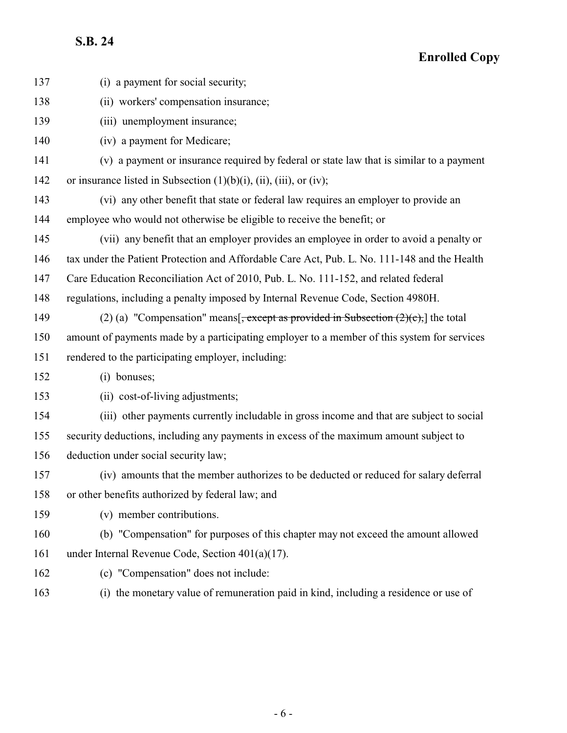**Enrolled Copy**

| 137 | (i) a payment for social security;                                                              |
|-----|-------------------------------------------------------------------------------------------------|
| 138 | (ii) workers' compensation insurance;                                                           |
| 139 | (iii) unemployment insurance;                                                                   |
| 140 | (iv) a payment for Medicare;                                                                    |
| 141 | (v) a payment or insurance required by federal or state law that is similar to a payment        |
| 142 | or insurance listed in Subsection $(1)(b)(i)$ , $(ii)$ , $(iii)$ , or $(iv)$ ;                  |
| 143 | (vi) any other benefit that state or federal law requires an employer to provide an             |
| 144 | employee who would not otherwise be eligible to receive the benefit; or                         |
| 145 | (vii) any benefit that an employer provides an employee in order to avoid a penalty or          |
| 146 | tax under the Patient Protection and Affordable Care Act, Pub. L. No. 111-148 and the Health    |
| 147 | Care Education Reconciliation Act of 2010, Pub. L. No. 111-152, and related federal             |
| 148 | regulations, including a penalty imposed by Internal Revenue Code, Section 4980H.               |
| 149 | (2) (a) "Compensation" means $\frac{1}{2}$ , except as provided in Subsection (2)(c), the total |
| 150 | amount of payments made by a participating employer to a member of this system for services     |
| 151 | rendered to the participating employer, including:                                              |
| 152 | (i) bonuses;                                                                                    |
| 153 | (ii) cost-of-living adjustments;                                                                |
| 154 | (iii) other payments currently includable in gross income and that are subject to social        |
| 155 | security deductions, including any payments in excess of the maximum amount subject to          |
| 156 | deduction under social security law;                                                            |
| 157 | (iv) amounts that the member authorizes to be deducted or reduced for salary deferral           |
| 158 | or other benefits authorized by federal law; and                                                |
| 159 | (v) member contributions.                                                                       |
| 160 | (b) "Compensation" for purposes of this chapter may not exceed the amount allowed               |
| 161 | under Internal Revenue Code, Section $401(a)(17)$ .                                             |
| 162 | (c) "Compensation" does not include:                                                            |

(i) the monetary value of remuneration paid in kind, including a residence or use of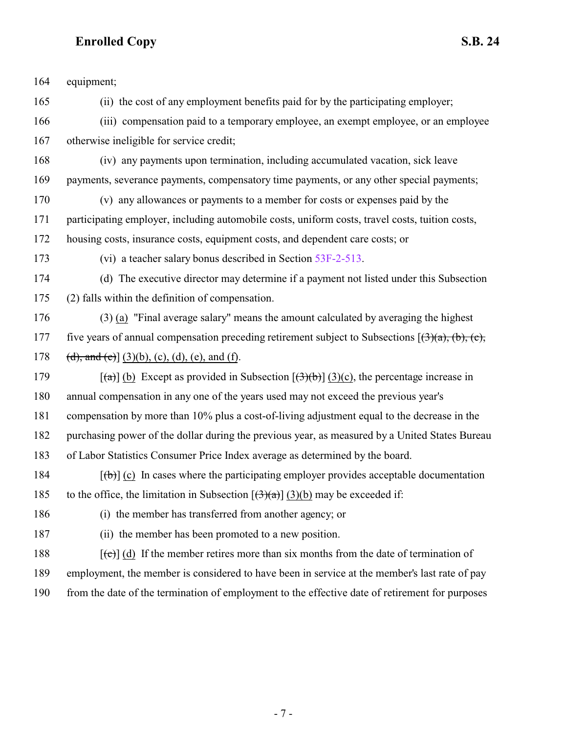| 164 | equipment;                                                                                                             |
|-----|------------------------------------------------------------------------------------------------------------------------|
| 165 | (ii) the cost of any employment benefits paid for by the participating employer;                                       |
| 166 | (iii) compensation paid to a temporary employee, an exempt employee, or an employee                                    |
| 167 | otherwise ineligible for service credit;                                                                               |
| 168 | (iv) any payments upon termination, including accumulated vacation, sick leave                                         |
| 169 | payments, severance payments, compensatory time payments, or any other special payments;                               |
| 170 | (v) any allowances or payments to a member for costs or expenses paid by the                                           |
| 171 | participating employer, including automobile costs, uniform costs, travel costs, tuition costs,                        |
| 172 | housing costs, insurance costs, equipment costs, and dependent care costs; or                                          |
| 173 | (vi) a teacher salary bonus described in Section 53F-2-513.                                                            |
| 174 | (d) The executive director may determine if a payment not listed under this Subsection                                 |
| 175 | (2) falls within the definition of compensation.                                                                       |
| 176 | (3) (a) "Final average salary" means the amount calculated by averaging the highest                                    |
| 177 | five years of annual compensation preceding retirement subject to Subsections $(\exists)(a), (b), (c),$                |
| 178 | (d), and (e)] (3)(b), (c), (d), (e), and (f).                                                                          |
| 179 | $\lceil$ (a) $\lceil$ (b) Except as provided in Subsection $\lceil$ (3)(b) $\lceil$ (3)(c), the percentage increase in |
| 180 | annual compensation in any one of the years used may not exceed the previous year's                                    |
| 181 | compensation by more than 10% plus a cost-of-living adjustment equal to the decrease in the                            |
| 182 | purchasing power of the dollar during the previous year, as measured by a United States Bureau                         |
| 183 | of Labor Statistics Consumer Price Index average as determined by the board.                                           |
| 184 | $[\phi]$ (c) In cases where the participating employer provides acceptable documentation                               |
| 185 | to the office, the limitation in Subsection $[(3)(a)]$ $(3)(b)$ may be exceeded if:                                    |
| 186 | (i) the member has transferred from another agency; or                                                                 |
| 187 | (ii) the member has been promoted to a new position.                                                                   |
| 188 | $[\text{e}^{-\text{e}}]$ (d) If the member retires more than six months from the date of termination of                |
| 189 | employment, the member is considered to have been in service at the member's last rate of pay                          |
| 190 | from the date of the termination of employment to the effective date of retirement for purposes                        |
|     |                                                                                                                        |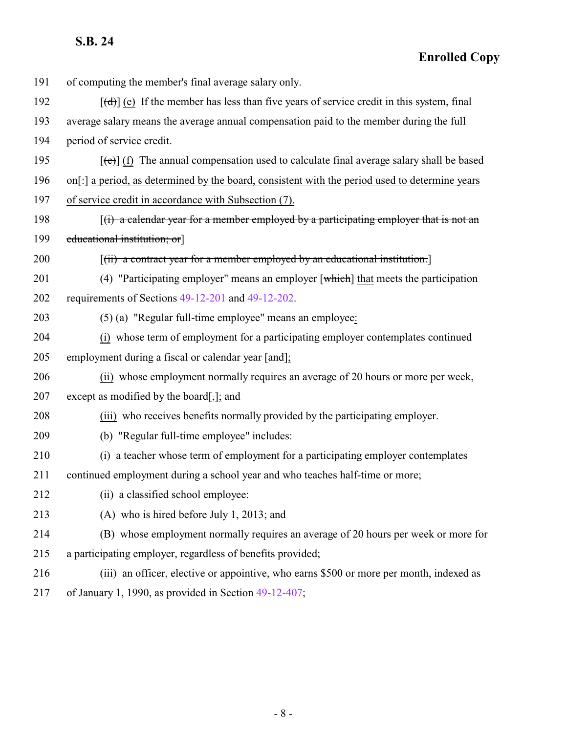| 191 | of computing the member's final average salary only.                                                     |
|-----|----------------------------------------------------------------------------------------------------------|
| 192 | $[\text{d} \cdot]$ (e) If the member has less than five years of service credit in this system, final    |
| 193 | average salary means the average annual compensation paid to the member during the full                  |
| 194 | period of service credit.                                                                                |
| 195 | $[\text{e}(\text{e})]$ (f) The annual compensation used to calculate final average salary shall be based |
| 196 | on[:] a period, as determined by the board, consistent with the period used to determine years           |
| 197 | of service credit in accordance with Subsection (7).                                                     |
| 198 | $(i)$ a calendar year for a member employed by a participating employer that is not an                   |
| 199 | educational institution; or                                                                              |
| 200 | [(ii) a contract year for a member employed by an educational institution.]                              |
| 201 | (4) "Participating employer" means an employer $\lceil$ which $\rceil$ that meets the participation      |
| 202 | requirements of Sections 49-12-201 and 49-12-202.                                                        |
| 203 | (5) (a) "Regular full-time employee" means an employee:                                                  |
| 204 | (i) whose term of employment for a participating employer contemplates continued                         |
| 205 | employment during a fiscal or calendar year [and];                                                       |
| 206 | (ii) whose employment normally requires an average of 20 hours or more per week,                         |
| 207 | except as modified by the board $[\cdot]$ ; and                                                          |
| 208 | (iii) who receives benefits normally provided by the participating employer.                             |
| 209 | (b) "Regular full-time employee" includes:                                                               |
| 210 | (i) a teacher whose term of employment for a participating employer contemplates                         |
| 211 | continued employment during a school year and who teaches half-time or more;                             |
| 212 | (ii) a classified school employee:                                                                       |
| 213 | (A) who is hired before July 1, 2013; and                                                                |
| 214 | (B) whose employment normally requires an average of 20 hours per week or more for                       |
| 215 | a participating employer, regardless of benefits provided;                                               |
| 216 | (iii) an officer, elective or appointive, who earns \$500 or more per month, indexed as                  |
| 217 | of January 1, 1990, as provided in Section $49-12-407$ ;                                                 |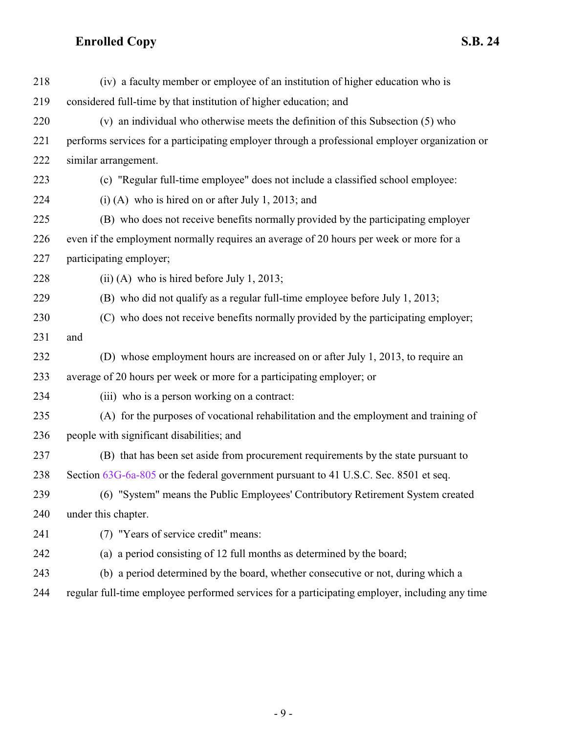| 218 | (iv) a faculty member or employee of an institution of higher education who is                 |
|-----|------------------------------------------------------------------------------------------------|
| 219 | considered full-time by that institution of higher education; and                              |
| 220 | (v) an individual who otherwise meets the definition of this Subsection (5) who                |
| 221 | performs services for a participating employer through a professional employer organization or |
| 222 | similar arrangement.                                                                           |
| 223 | (c) "Regular full-time employee" does not include a classified school employee:                |
| 224 | $(i)$ (A) who is hired on or after July 1, 2013; and                                           |
| 225 | (B) who does not receive benefits normally provided by the participating employer              |
| 226 | even if the employment normally requires an average of 20 hours per week or more for a         |
| 227 | participating employer;                                                                        |
| 228 | $(ii)$ (A) who is hired before July 1, 2013;                                                   |
| 229 | (B) who did not qualify as a regular full-time employee before July 1, 2013;                   |
| 230 | (C) who does not receive benefits normally provided by the participating employer;             |
| 231 | and                                                                                            |
| 232 | (D) whose employment hours are increased on or after July 1, 2013, to require an               |
| 233 | average of 20 hours per week or more for a participating employer; or                          |
| 234 | (iii) who is a person working on a contract:                                                   |
| 235 | (A) for the purposes of vocational rehabilitation and the employment and training of           |
| 236 | people with significant disabilities; and                                                      |
| 237 | (B) that has been set aside from procurement requirements by the state pursuant to             |
| 238 | Section 63G-6a-805 or the federal government pursuant to 41 U.S.C. Sec. 8501 et seq.           |
| 239 | (6) "System" means the Public Employees' Contributory Retirement System created                |
| 240 | under this chapter.                                                                            |
| 241 | (7) "Years of service credit" means:                                                           |
| 242 | (a) a period consisting of 12 full months as determined by the board;                          |
| 243 | (b) a period determined by the board, whether consecutive or not, during which a               |
| 244 | regular full-time employee performed services for a participating employer, including any time |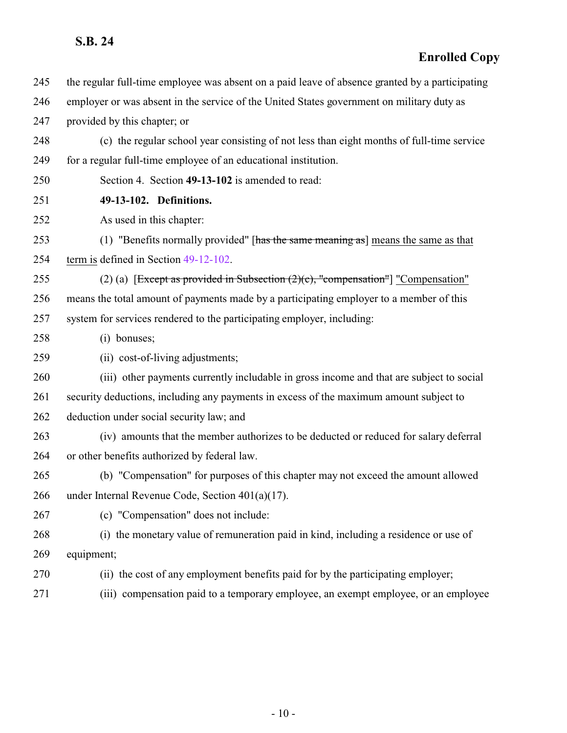<span id="page-9-0"></span>

| 245 | the regular full-time employee was absent on a paid leave of absence granted by a participating |
|-----|-------------------------------------------------------------------------------------------------|
| 246 | employer or was absent in the service of the United States government on military duty as       |
| 247 | provided by this chapter; or                                                                    |
| 248 | (c) the regular school year consisting of not less than eight months of full-time service       |
| 249 | for a regular full-time employee of an educational institution.                                 |
| 250 | Section 4. Section 49-13-102 is amended to read:                                                |
| 251 | 49-13-102. Definitions.                                                                         |
| 252 | As used in this chapter:                                                                        |
| 253 | (1) "Benefits normally provided" [has the same meaning as] means the same as that               |
| 254 | term is defined in Section 49-12-102.                                                           |
| 255 | (2) (a) [Except as provided in Subsection $(2)(c)$ , "compensation"] "Compensation"             |
| 256 | means the total amount of payments made by a participating employer to a member of this         |
| 257 | system for services rendered to the participating employer, including:                          |
| 258 | (i) bonuses;                                                                                    |
| 259 | (ii) cost-of-living adjustments;                                                                |
| 260 | (iii) other payments currently includable in gross income and that are subject to social        |
| 261 | security deductions, including any payments in excess of the maximum amount subject to          |
| 262 | deduction under social security law; and                                                        |
| 263 | (iv) amounts that the member authorizes to be deducted or reduced for salary deferral           |
| 264 | or other benefits authorized by federal law.                                                    |
| 265 | (b) "Compensation" for purposes of this chapter may not exceed the amount allowed               |
| 266 | under Internal Revenue Code, Section 401(a)(17).                                                |
| 267 | (c) "Compensation" does not include:                                                            |
| 268 | (i) the monetary value of remuneration paid in kind, including a residence or use of            |
| 269 | equipment;                                                                                      |
| 270 | (ii) the cost of any employment benefits paid for by the participating employer;                |
| 271 | (iii) compensation paid to a temporary employee, an exempt employee, or an employee             |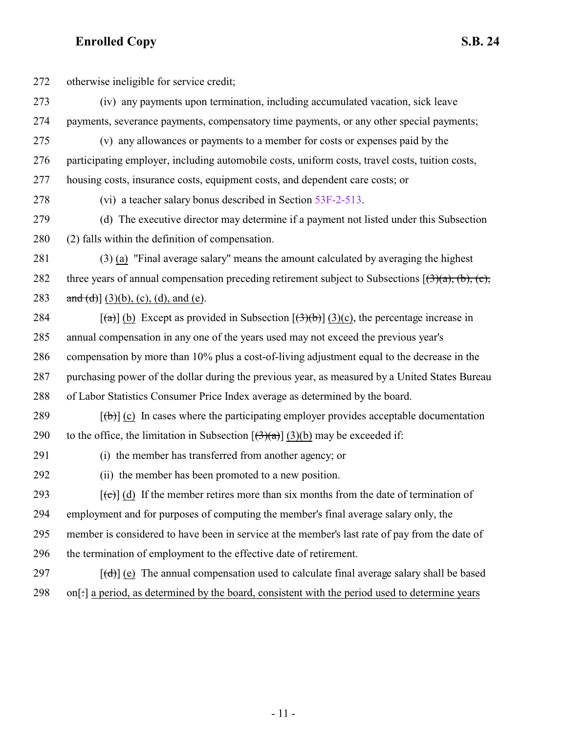otherwise ineligible for service credit;

- (iv) any payments upon termination, including accumulated vacation, sick leave payments, severance payments, compensatory time payments, or any other special payments;
- (v) any allowances or payments to a member for costs or expenses paid by the participating employer, including automobile costs, uniform costs, travel costs, tuition costs, housing costs, insurance costs, equipment costs, and dependent care costs; or
- 

(vi) a teacher salary bonus described in Section [53F-2-513](http://le.utah.gov/UtahCode/SectionLookup.jsp?section=53f-2-513&session=2022GS).

 (d) The executive director may determine if a payment not listed under this Subsection (2) falls within the definition of compensation.

- (3) (a) "Final average salary" means the amount calculated by averaging the highest 282 three years of annual compensation preceding retirement subject to Subsections  $[3](a)$ ,  $(b)$ ,  $(c)$ , 283 and  $(d)$ ] (3)(b), (c), (d), and (e).
- 284  $[(a)] (b)$  Except as provided in Subsection  $[(3)(c)]$ , the percentage increase in annual compensation in any one of the years used may not exceed the previous year's compensation by more than 10% plus a cost-of-living adjustment equal to the decrease in the purchasing power of the dollar during the previous year, as measured by a United States Bureau of Labor Statistics Consumer Price Index average as determined by the board.
- 289  $[(b)]$  (c) In cases where the participating employer provides acceptable documentation 290 to the office, the limitation in Subsection  $[\left(\frac{3}{(4)}\right)](3)(b)$  may be exceeded if:
- (i) the member has transferred from another agency; or
- (ii) the member has been promoted to a new position.
- 293  $[(e)]$  (d) If the member retires more than six months from the date of termination of employment and for purposes of computing the member's final average salary only, the member is considered to have been in service at the member's last rate of pay from the date of the termination of employment to the effective date of retirement.
- $[({\bf d})]$  (e) The annual compensation used to calculate final average salary shall be based on[:] a period, as determined by the board, consistent with the period used to determine years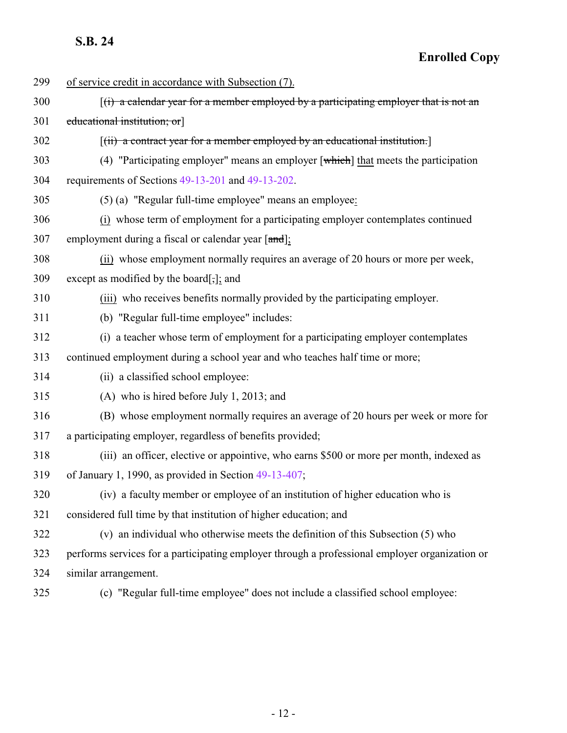| 299 | of service credit in accordance with Subsection (7).                                                |
|-----|-----------------------------------------------------------------------------------------------------|
| 300 | $(i)$ a calendar year for a member employed by a participating employer that is not an              |
| 301 | educational institution; or                                                                         |
| 302 | $[(ii)$ a contract year for a member employed by an educational institution.                        |
| 303 | (4) "Participating employer" means an employer $\lceil$ which $\rceil$ that meets the participation |
| 304 | requirements of Sections 49-13-201 and 49-13-202.                                                   |
| 305 | (5) (a) "Regular full-time employee" means an employee:                                             |
| 306 | (i) whose term of employment for a participating employer contemplates continued                    |
| 307 | employment during a fiscal or calendar year [and];                                                  |
| 308 | (ii) whose employment normally requires an average of 20 hours or more per week,                    |
| 309 | except as modified by the board[,]; and                                                             |
| 310 | (iii) who receives benefits normally provided by the participating employer.                        |
| 311 | (b) "Regular full-time employee" includes:                                                          |
| 312 | (i) a teacher whose term of employment for a participating employer contemplates                    |
| 313 | continued employment during a school year and who teaches half time or more;                        |
| 314 | (ii) a classified school employee:                                                                  |
| 315 | $(A)$ who is hired before July 1, 2013; and                                                         |
| 316 | (B) whose employment normally requires an average of 20 hours per week or more for                  |
| 317 | a participating employer, regardless of benefits provided;                                          |
| 318 | (iii) an officer, elective or appointive, who earns \$500 or more per month, indexed as             |
| 319 | of January 1, 1990, as provided in Section 49-13-407;                                               |
| 320 | (iv) a faculty member or employee of an institution of higher education who is                      |
| 321 | considered full time by that institution of higher education; and                                   |
| 322 | (v) an individual who otherwise meets the definition of this Subsection (5) who                     |
| 323 | performs services for a participating employer through a professional employer organization or      |
| 324 | similar arrangement.                                                                                |
| 325 | (c) "Regular full-time employee" does not include a classified school employee:                     |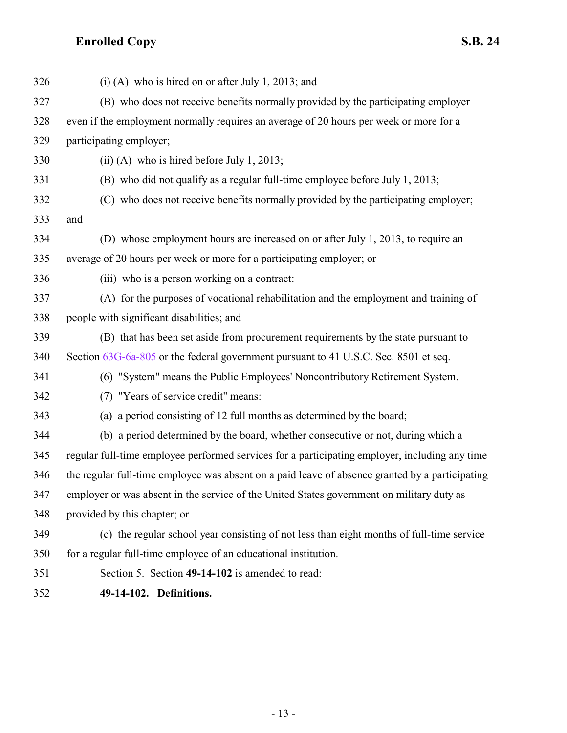| 326 | $(i)$ (A) who is hired on or after July 1, 2013; and                                            |
|-----|-------------------------------------------------------------------------------------------------|
| 327 | (B) who does not receive benefits normally provided by the participating employer               |
| 328 | even if the employment normally requires an average of 20 hours per week or more for a          |
| 329 | participating employer;                                                                         |
| 330 | $(ii)$ (A) who is hired before July 1, 2013;                                                    |
| 331 | (B) who did not qualify as a regular full-time employee before July 1, 2013;                    |
| 332 | (C) who does not receive benefits normally provided by the participating employer;              |
| 333 | and                                                                                             |
| 334 | (D) whose employment hours are increased on or after July 1, 2013, to require an                |
| 335 | average of 20 hours per week or more for a participating employer; or                           |
| 336 | (iii) who is a person working on a contract:                                                    |
| 337 | (A) for the purposes of vocational rehabilitation and the employment and training of            |
| 338 | people with significant disabilities; and                                                       |
| 339 | (B) that has been set aside from procurement requirements by the state pursuant to              |
| 340 | Section 63G-6a-805 or the federal government pursuant to 41 U.S.C. Sec. 8501 et seq.            |
| 341 | (6) "System" means the Public Employees' Noncontributory Retirement System.                     |
| 342 | (7) "Years of service credit" means:                                                            |
| 343 | (a) a period consisting of 12 full months as determined by the board;                           |
| 344 | (b) a period determined by the board, whether consecutive or not, during which a                |
| 345 | regular full-time employee performed services for a participating employer, including any time  |
| 346 | the regular full-time employee was absent on a paid leave of absence granted by a participating |
| 347 | employer or was absent in the service of the United States government on military duty as       |
| 348 | provided by this chapter; or                                                                    |
| 349 | (c) the regular school year consisting of not less than eight months of full-time service       |
| 350 | for a regular full-time employee of an educational institution.                                 |
| 351 | Section 5. Section 49-14-102 is amended to read:                                                |
|     |                                                                                                 |

<span id="page-12-0"></span>**49-14-102. Definitions.**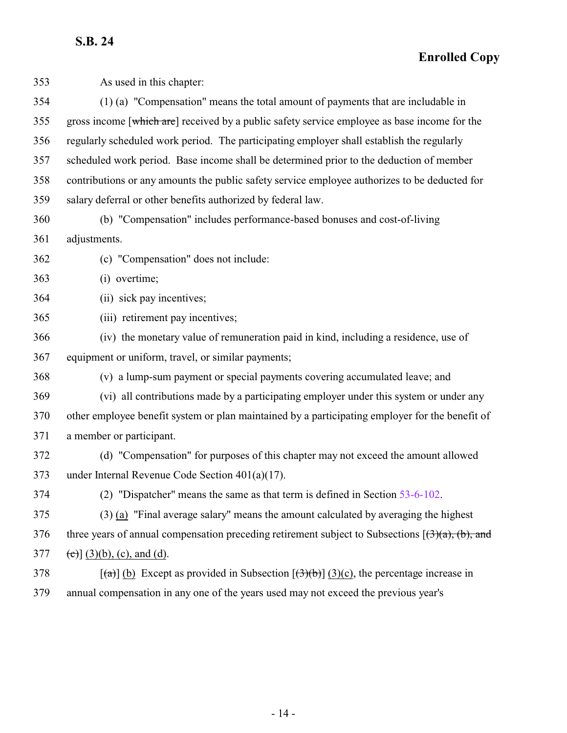**Enrolled Copy**

| 353 | As used in this chapter:                                                                                                      |
|-----|-------------------------------------------------------------------------------------------------------------------------------|
| 354 | (1) (a) "Compensation" means the total amount of payments that are includable in                                              |
| 355 | gross income [which are] received by a public safety service employee as base income for the                                  |
| 356 | regularly scheduled work period. The participating employer shall establish the regularly                                     |
| 357 | scheduled work period. Base income shall be determined prior to the deduction of member                                       |
| 358 | contributions or any amounts the public safety service employee authorizes to be deducted for                                 |
| 359 | salary deferral or other benefits authorized by federal law.                                                                  |
| 360 | (b) "Compensation" includes performance-based bonuses and cost-of-living                                                      |
| 361 | adjustments.                                                                                                                  |
| 362 | (c) "Compensation" does not include:                                                                                          |
| 363 | (i) overtime;                                                                                                                 |
| 364 | (ii) sick pay incentives;                                                                                                     |
| 365 | (iii) retirement pay incentives;                                                                                              |
| 366 | (iv) the monetary value of remuneration paid in kind, including a residence, use of                                           |
| 367 | equipment or uniform, travel, or similar payments;                                                                            |
| 368 | (v) a lump-sum payment or special payments covering accumulated leave; and                                                    |
| 369 | (vi) all contributions made by a participating employer under this system or under any                                        |
| 370 | other employee benefit system or plan maintained by a participating employer for the benefit of                               |
| 371 | a member or participant.                                                                                                      |
| 372 | (d) "Compensation" for purposes of this chapter may not exceed the amount allowed                                             |
| 373 | under Internal Revenue Code Section $401(a)(17)$ .                                                                            |
| 374 | (2) "Dispatcher" means the same as that term is defined in Section 53-6-102.                                                  |
| 375 | (3) (a) "Final average salary" means the amount calculated by averaging the highest                                           |
| 376 | three years of annual compensation preceding retirement subject to Subsections $(\exists)(a)$ , (b), and                      |
| 377 | (c) $(3)(b)$ , (c), and (d).                                                                                                  |
| 378 | $\left[\frac{1}{2}\right]$ (b) Except as provided in Subsection $\left[\frac{1}{2}\right]$ (3)(c), the percentage increase in |
| 379 | annual compensation in any one of the years used may not exceed the previous year's                                           |

- 14 -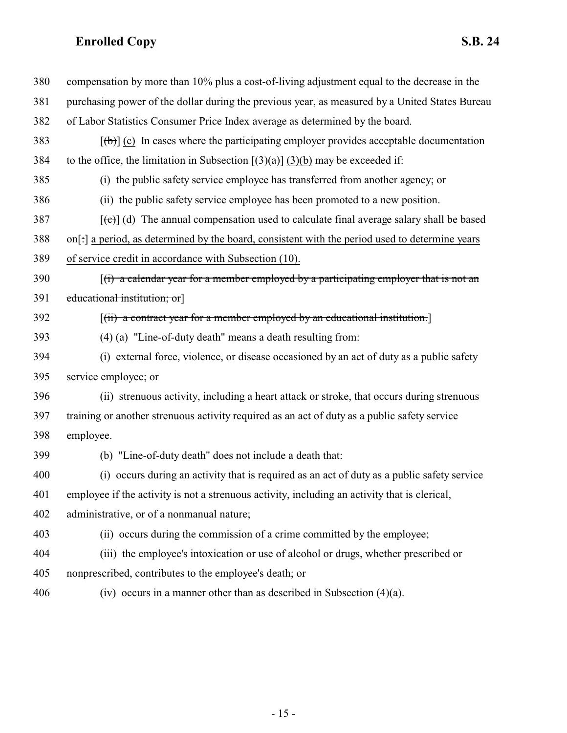| 380 | compensation by more than 10% plus a cost-of-living adjustment equal to the decrease in the     |
|-----|-------------------------------------------------------------------------------------------------|
| 381 | purchasing power of the dollar during the previous year, as measured by a United States Bureau  |
| 382 | of Labor Statistics Consumer Price Index average as determined by the board.                    |
| 383 | $[\theta]$ (c) In cases where the participating employer provides acceptable documentation      |
| 384 | to the office, the limitation in Subsection $[(3)(a)]$ (3)(b) may be exceeded if:               |
| 385 | (i) the public safety service employee has transferred from another agency; or                  |
| 386 | (ii) the public safety service employee has been promoted to a new position.                    |
| 387 | $[\text{et}]$ (d) The annual compensation used to calculate final average salary shall be based |
| 388 | on[:] a period, as determined by the board, consistent with the period used to determine years  |
| 389 | of service credit in accordance with Subsection (10).                                           |
| 390 | $(i)$ a calendar year for a member employed by a participating employer that is not an          |
| 391 | educational institution; or                                                                     |
| 392 | $[(ii)$ a contract year for a member employed by an educational institution.                    |
| 393 | (4) (a) "Line-of-duty death" means a death resulting from:                                      |
| 394 | (i) external force, violence, or disease occasioned by an act of duty as a public safety        |
| 395 | service employee; or                                                                            |
| 396 | (ii) strenuous activity, including a heart attack or stroke, that occurs during strenuous       |
| 397 | training or another strenuous activity required as an act of duty as a public safety service    |
| 398 | employee.                                                                                       |
| 399 | (b) "Line-of-duty death" does not include a death that:                                         |
| 400 | (i) occurs during an activity that is required as an act of duty as a public safety service     |
| 401 | employee if the activity is not a strenuous activity, including an activity that is clerical,   |
| 402 | administrative, or of a nonmanual nature;                                                       |
| 403 | (ii) occurs during the commission of a crime committed by the employee;                         |
| 404 | (iii) the employee's intoxication or use of alcohol or drugs, whether prescribed or             |
| 405 | nonprescribed, contributes to the employee's death; or                                          |
| 406 | (iv) occurs in a manner other than as described in Subsection $(4)(a)$ .                        |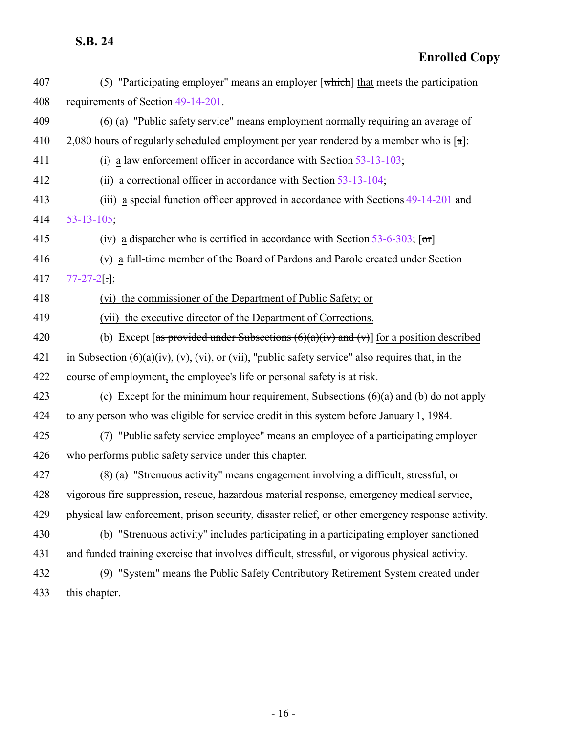| 407 | (5) "Participating employer" means an employer $\lceil$ which $\rceil$ that meets the participation           |
|-----|---------------------------------------------------------------------------------------------------------------|
| 408 | requirements of Section 49-14-201.                                                                            |
| 409 | (6) (a) "Public safety service" means employment normally requiring an average of                             |
| 410 | 2,080 hours of regularly scheduled employment per year rendered by a member who is $\lceil \alpha \rceil$ :   |
| 411 | (i) a law enforcement officer in accordance with Section $53-13-103$ ;                                        |
| 412 | (ii) a correctional officer in accordance with Section $53-13-104$ ;                                          |
| 413 | (iii) a special function officer approved in accordance with Sections 49-14-201 and                           |
| 414 | $53 - 13 - 105$ ;                                                                                             |
| 415 | (iv) a dispatcher who is certified in accordance with Section 53-6-303; $\lceil \sigma r \rceil$              |
| 416 | (v) a full-time member of the Board of Pardons and Parole created under Section                               |
| 417 | $77-27-2$ .                                                                                                   |
| 418 | (vi) the commissioner of the Department of Public Safety; or                                                  |
| 419 | (vii) the executive director of the Department of Corrections.                                                |
| 420 | (b) Except [as provided under Subsections $(6)(a)(iv)$ and $(v)$ ] for a position described                   |
| 421 | in Subsection $(6)(a)(iv)$ , $(v)$ , $(vi)$ , or $(vii)$ , "public safety service" also requires that, in the |
| 422 | course of employment, the employee's life or personal safety is at risk.                                      |
| 423 | (c) Except for the minimum hour requirement, Subsections $(6)(a)$ and $(b)$ do not apply                      |
| 424 | to any person who was eligible for service credit in this system before January 1, 1984.                      |
| 425 | (7) "Public safety service employee" means an employee of a participating employer                            |
| 426 | who performs public safety service under this chapter.                                                        |
| 427 | (8) (a) "Strenuous activity" means engagement involving a difficult, stressful, or                            |
| 428 | vigorous fire suppression, rescue, hazardous material response, emergency medical service,                    |
| 429 | physical law enforcement, prison security, disaster relief, or other emergency response activity.             |
| 430 | (b) "Strenuous activity" includes participating in a participating employer sanctioned                        |
| 431 | and funded training exercise that involves difficult, stressful, or vigorous physical activity.               |
| 432 | (9) "System" means the Public Safety Contributory Retirement System created under                             |
| 433 | this chapter.                                                                                                 |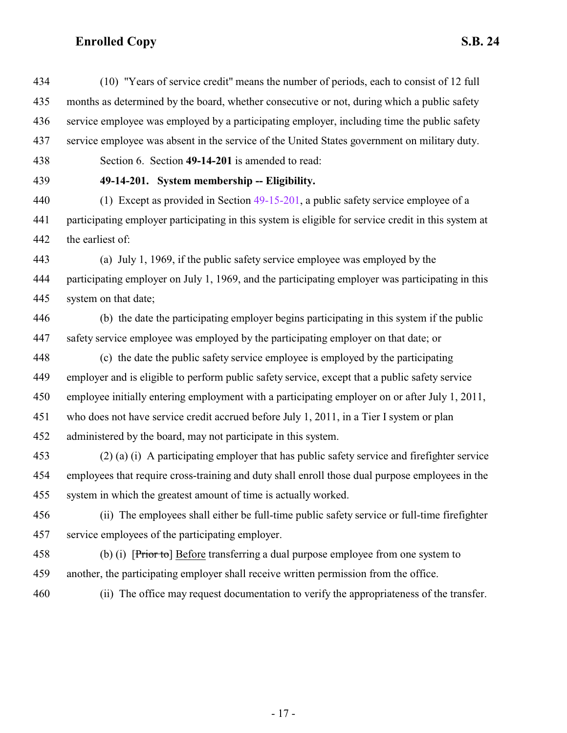<span id="page-16-0"></span> (10) "Years of service credit" means the number of periods, each to consist of 12 full months as determined by the board, whether consecutive or not, during which a public safety service employee was employed by a participating employer, including time the public safety service employee was absent in the service of the United States government on military duty. Section 6. Section **49-14-201** is amended to read: **49-14-201. System membership -- Eligibility.** (1) Except as provided in Section [49-15-201](#page-23-0), a public safety service employee of a participating employer participating in this system is eligible for service credit in this system at the earliest of: (a) July 1, 1969, if the public safety service employee was employed by the participating employer on July 1, 1969, and the participating employer was participating in this system on that date; (b) the date the participating employer begins participating in this system if the public safety service employee was employed by the participating employer on that date; or (c) the date the public safety service employee is employed by the participating employer and is eligible to perform public safety service, except that a public safety service employee initially entering employment with a participating employer on or after July 1, 2011, who does not have service credit accrued before July 1, 2011, in a Tier I system or plan administered by the board, may not participate in this system. (2) (a) (i) A participating employer that has public safety service and firefighter service employees that require cross-training and duty shall enroll those dual purpose employees in the system in which the greatest amount of time is actually worked. (ii) The employees shall either be full-time public safety service or full-time firefighter service employees of the participating employer. (b) (i) [Prior to] Before transferring a dual purpose employee from one system to another, the participating employer shall receive written permission from the office.

(ii) The office may request documentation to verify the appropriateness of the transfer.

- 17 -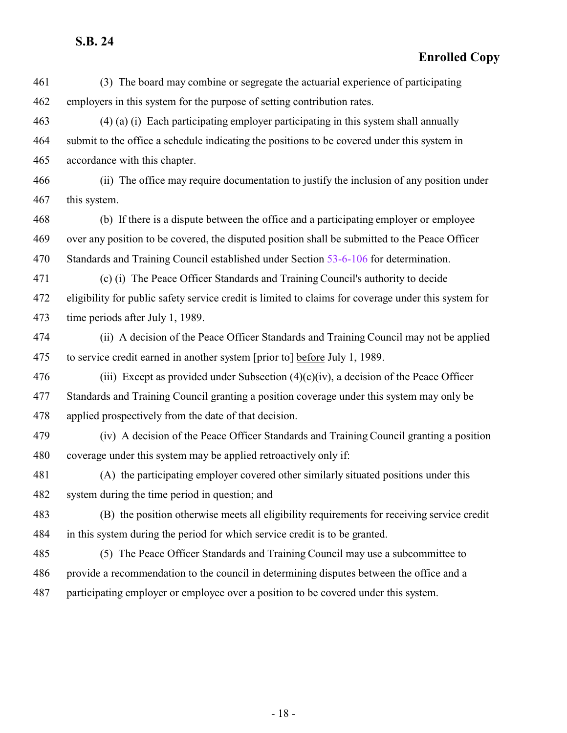**Enrolled Copy**

 (3) The board may combine or segregate the actuarial experience of participating employers in this system for the purpose of setting contribution rates.

 (4) (a) (i) Each participating employer participating in this system shall annually submit to the office a schedule indicating the positions to be covered under this system in accordance with this chapter.

 (ii) The office may require documentation to justify the inclusion of any position under this system.

 (b) If there is a dispute between the office and a participating employer or employee over any position to be covered, the disputed position shall be submitted to the Peace Officer Standards and Training Council established under Section [53-6-106](http://le.utah.gov/UtahCode/SectionLookup.jsp?section=53-6-106&session=2022GS) for determination.

 (c) (i) The Peace Officer Standards and Training Council's authority to decide eligibility for public safety service credit is limited to claims for coverage under this system for time periods after July 1, 1989.

 (ii) A decision of the Peace Officer Standards and Training Council may not be applied 475 to service credit earned in another system  $[\overrightarrow{prior\ to}]$  before July 1, 1989.

476 (iii) Except as provided under Subsection  $(4)(c)(iv)$ , a decision of the Peace Officer Standards and Training Council granting a position coverage under this system may only be applied prospectively from the date of that decision.

 (iv) A decision of the Peace Officer Standards and Training Council granting a position coverage under this system may be applied retroactively only if:

 (A) the participating employer covered other similarly situated positions under this system during the time period in question; and

 (B) the position otherwise meets all eligibility requirements for receiving service credit in this system during the period for which service credit is to be granted.

 (5) The Peace Officer Standards and Training Council may use a subcommittee to provide a recommendation to the council in determining disputes between the office and a participating employer or employee over a position to be covered under this system.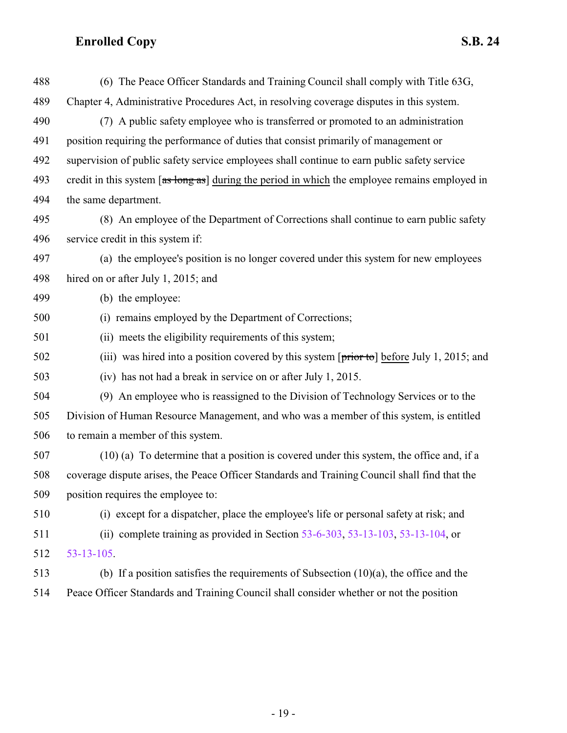| 488 | (6) The Peace Officer Standards and Training Council shall comply with Title 63G,                        |
|-----|----------------------------------------------------------------------------------------------------------|
| 489 | Chapter 4, Administrative Procedures Act, in resolving coverage disputes in this system.                 |
| 490 | (7) A public safety employee who is transferred or promoted to an administration                         |
| 491 | position requiring the performance of duties that consist primarily of management or                     |
| 492 | supervision of public safety service employees shall continue to earn public safety service              |
| 493 | credit in this system [as long as] during the period in which the employee remains employed in           |
| 494 | the same department.                                                                                     |
| 495 | (8) An employee of the Department of Corrections shall continue to earn public safety                    |
| 496 | service credit in this system if:                                                                        |
| 497 | (a) the employee's position is no longer covered under this system for new employees                     |
| 498 | hired on or after July 1, 2015; and                                                                      |
| 499 | (b) the employee:                                                                                        |
| 500 | (i) remains employed by the Department of Corrections;                                                   |
| 501 | (ii) meets the eligibility requirements of this system;                                                  |
| 502 | (iii) was hired into a position covered by this system $[\overline{prior\ to}]$ before July 1, 2015; and |
| 503 | (iv) has not had a break in service on or after July 1, 2015.                                            |
| 504 | (9) An employee who is reassigned to the Division of Technology Services or to the                       |
| 505 | Division of Human Resource Management, and who was a member of this system, is entitled                  |
| 506 | to remain a member of this system.                                                                       |
| 507 | $(10)$ (a) To determine that a position is covered under this system, the office and, if a               |
| 508 | coverage dispute arises, the Peace Officer Standards and Training Council shall find that the            |
| 509 | position requires the employee to:                                                                       |
| 510 | (i) except for a dispatcher, place the employee's life or personal safety at risk; and                   |
| 511 | (ii) complete training as provided in Section $53-6-303$ , $53-13-103$ , $53-13-104$ , or                |
| 512 | $53 - 13 - 105$ .                                                                                        |
| 513 | (b) If a position satisfies the requirements of Subsection $(10)(a)$ , the office and the                |
| 514 | Peace Officer Standards and Training Council shall consider whether or not the position                  |

- 19 -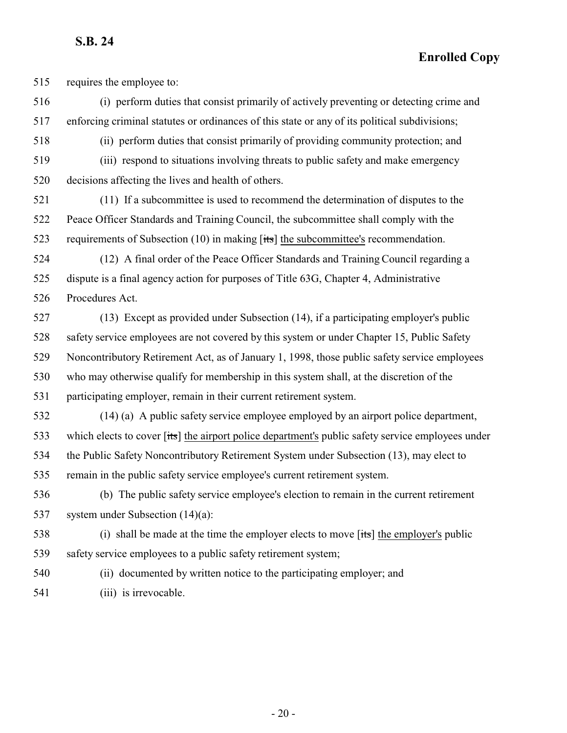**Enrolled Copy**

requires the employee to:

 (i) perform duties that consist primarily of actively preventing or detecting crime and enforcing criminal statutes or ordinances of this state or any of its political subdivisions;

(ii) perform duties that consist primarily of providing community protection; and

 (iii) respond to situations involving threats to public safety and make emergency decisions affecting the lives and health of others.

 (11) If a subcommittee is used to recommend the determination of disputes to the Peace Officer Standards and Training Council, the subcommittee shall comply with the requirements of Subsection (10) in making [its] the subcommittee's recommendation.

 (12) A final order of the Peace Officer Standards and Training Council regarding a dispute is a final agency action for purposes of Title 63G, Chapter 4, Administrative Procedures Act.

 (13) Except as provided under Subsection (14), if a participating employer's public safety service employees are not covered by this system or under Chapter 15, Public Safety Noncontributory Retirement Act, as of January 1, 1998, those public safety service employees who may otherwise qualify for membership in this system shall, at the discretion of the participating employer, remain in their current retirement system.

 (14) (a) A public safety service employee employed by an airport police department, 533 which elects to cover [its] the airport police department's public safety service employees under the Public Safety Noncontributory Retirement System under Subsection (13), may elect to remain in the public safety service employee's current retirement system.

 (b) The public safety service employee's election to remain in the current retirement system under Subsection (14)(a):

538 (i) shall be made at the time the employer elects to move [its] the employer's public safety service employees to a public safety retirement system;

(ii) documented by written notice to the participating employer; and

541 (iii) is irrevocable.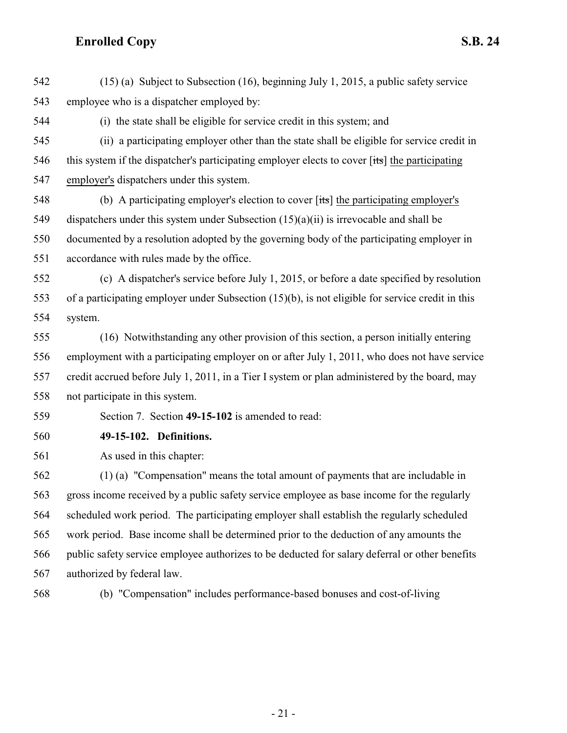(15) (a) Subject to Subsection (16), beginning July 1, 2015, a public safety service employee who is a dispatcher employed by:

(i) the state shall be eligible for service credit in this system; and

 (ii) a participating employer other than the state shall be eligible for service credit in 546 this system if the dispatcher's participating employer elects to cover [its] the participating employer's dispatchers under this system.

 (b) A participating employer's election to cover [its] the participating employer's dispatchers under this system under Subsection (15)(a)(ii) is irrevocable and shall be documented by a resolution adopted by the governing body of the participating employer in accordance with rules made by the office.

 (c) A dispatcher's service before July 1, 2015, or before a date specified by resolution of a participating employer under Subsection (15)(b), is not eligible for service credit in this system.

 (16) Notwithstanding any other provision of this section, a person initially entering employment with a participating employer on or after July 1, 2011, who does not have service credit accrued before July 1, 2011, in a Tier I system or plan administered by the board, may not participate in this system.

<span id="page-20-0"></span>Section 7. Section **49-15-102** is amended to read:

**49-15-102. Definitions.**

As used in this chapter:

 (1) (a) "Compensation" means the total amount of payments that are includable in gross income received by a public safety service employee as base income for the regularly scheduled work period. The participating employer shall establish the regularly scheduled work period. Base income shall be determined prior to the deduction of any amounts the public safety service employee authorizes to be deducted for salary deferral or other benefits authorized by federal law.

(b) "Compensation" includes performance-based bonuses and cost-of-living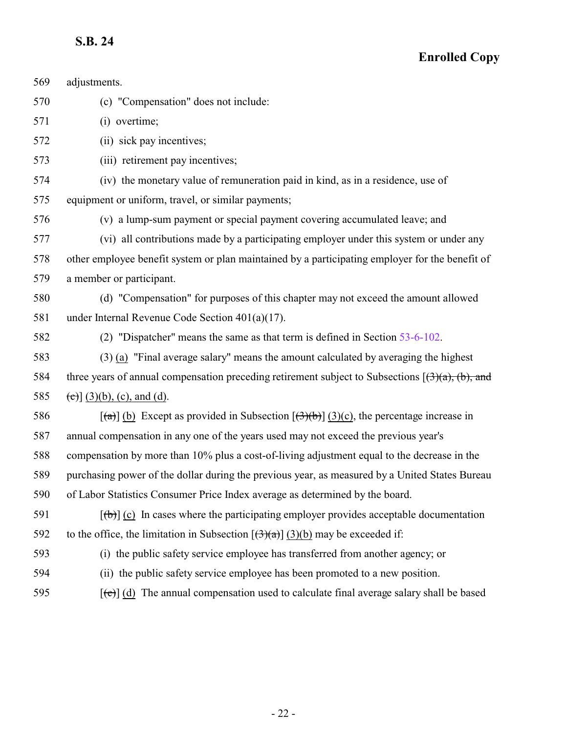| 569 | adjustments.                                                                                                                  |
|-----|-------------------------------------------------------------------------------------------------------------------------------|
| 570 | (c) "Compensation" does not include:                                                                                          |
| 571 | (i) overtime;                                                                                                                 |
| 572 | (ii) sick pay incentives;                                                                                                     |
| 573 | (iii) retirement pay incentives;                                                                                              |
| 574 | (iv) the monetary value of remuneration paid in kind, as in a residence, use of                                               |
| 575 | equipment or uniform, travel, or similar payments;                                                                            |
| 576 | (v) a lump-sum payment or special payment covering accumulated leave; and                                                     |
| 577 | (vi) all contributions made by a participating employer under this system or under any                                        |
| 578 | other employee benefit system or plan maintained by a participating employer for the benefit of                               |
| 579 | a member or participant.                                                                                                      |
| 580 | (d) "Compensation" for purposes of this chapter may not exceed the amount allowed                                             |
| 581 | under Internal Revenue Code Section $401(a)(17)$ .                                                                            |
| 582 | (2) "Dispatcher" means the same as that term is defined in Section 53-6-102.                                                  |
| 583 | $(3)$ (a) "Final average salary" means the amount calculated by averaging the highest                                         |
| 584 | three years of annual compensation preceding retirement subject to Subsections $(3)(a)$ , (b), and                            |
| 585 | $(c)$ ] (3)(b), (c), and (d).                                                                                                 |
| 586 | $\left[\frac{1}{2}\right]$ (b) Except as provided in Subsection $\left[\frac{1}{2}\right]$ (3)(c), the percentage increase in |
| 587 | annual compensation in any one of the years used may not exceed the previous year's                                           |
| 588 | compensation by more than 10% plus a cost-of-living adjustment equal to the decrease in the                                   |
| 589 | purchasing power of the dollar during the previous year, as measured by a United States Bureau                                |
| 590 | of Labor Statistics Consumer Price Index average as determined by the board.                                                  |
| 591 | $[\phi]$ (c) In cases where the participating employer provides acceptable documentation                                      |
| 592 | to the office, the limitation in Subsection $[(3)(a)]$ (3)(b) may be exceeded if:                                             |
| 593 | (i) the public safety service employee has transferred from another agency; or                                                |
| 594 | (ii) the public safety service employee has been promoted to a new position.                                                  |
| 595 | $[\text{e}^{-\text{e}}]$ (d) The annual compensation used to calculate final average salary shall be based                    |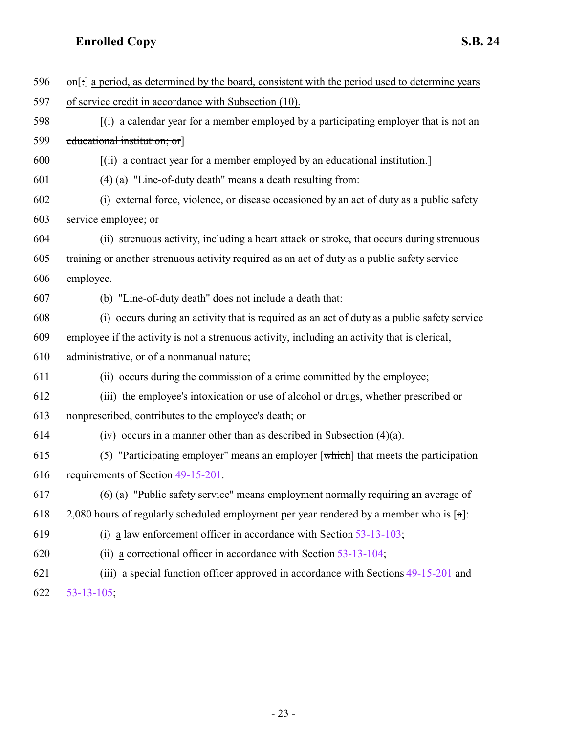| 596 | on[:] a period, as determined by the board, consistent with the period used to determine years              |
|-----|-------------------------------------------------------------------------------------------------------------|
| 597 | of service credit in accordance with Subsection (10).                                                       |
| 598 | $f(t)$ a calendar year for a member employed by a participating employer that is not an                     |
| 599 | educational institution; or                                                                                 |
| 600 | $\left[\right(\overline{\mathbf{ii}})$ a contract year for a member employed by an educational institution. |
| 601 | (4) (a) "Line-of-duty death" means a death resulting from:                                                  |
| 602 | (i) external force, violence, or disease occasioned by an act of duty as a public safety                    |
| 603 | service employee; or                                                                                        |
| 604 | (ii) strenuous activity, including a heart attack or stroke, that occurs during strenuous                   |
| 605 | training or another strenuous activity required as an act of duty as a public safety service                |
| 606 | employee.                                                                                                   |
| 607 | (b) "Line-of-duty death" does not include a death that:                                                     |
| 608 | (i) occurs during an activity that is required as an act of duty as a public safety service                 |
| 609 | employee if the activity is not a strenuous activity, including an activity that is clerical,               |
| 610 | administrative, or of a nonmanual nature;                                                                   |
| 611 | (ii) occurs during the commission of a crime committed by the employee;                                     |
| 612 | (iii) the employee's intoxication or use of alcohol or drugs, whether prescribed or                         |
| 613 | nonprescribed, contributes to the employee's death; or                                                      |
| 614 | (iv) occurs in a manner other than as described in Subsection $(4)(a)$ .                                    |
| 615 | (5) "Participating employer" means an employer $\lceil$ which $\rceil$ that meets the participation         |
| 616 | requirements of Section 49-15-201.                                                                          |
| 617 | (6) (a) "Public safety service" means employment normally requiring an average of                           |
| 618 | 2,080 hours of regularly scheduled employment per year rendered by a member who is $\lceil \alpha \rceil$ : |
| 619 | (i) a law enforcement officer in accordance with Section $53-13-103$ ;                                      |
| 620 | (ii) a correctional officer in accordance with Section $53-13-104$ ;                                        |
| 621 | (iii) a special function officer approved in accordance with Sections 49-15-201 and                         |
| 622 | $53 - 13 - 105$ ;                                                                                           |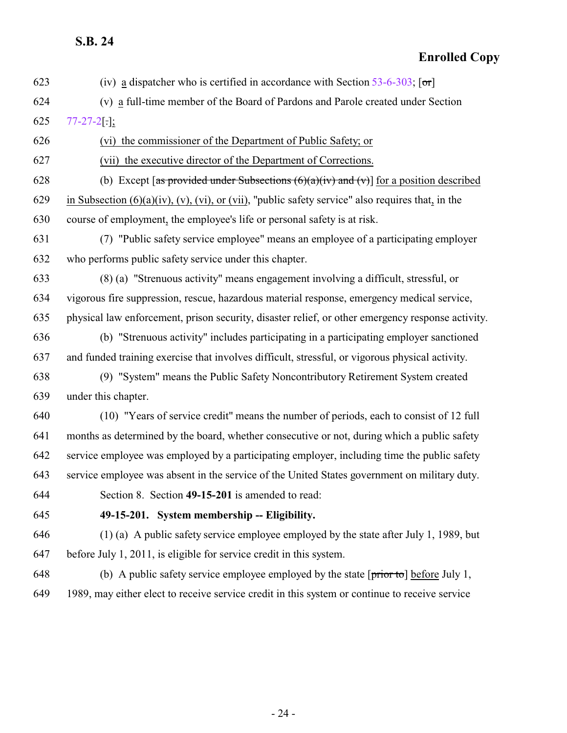#### **Enrolled Copy**

623 (iv) a dispatcher who is certified in accordance with Section  $53-6-303$ ;  $[ $\sigma$ r]$ 

- (v) a full-time member of the Board of Pardons and Parole created under Section [77-27-2](http://le.utah.gov/UtahCode/SectionLookup.jsp?section=77-27-2&session=2022GS)[.];
- (vi) the commissioner of the Department of Public Safety; or

(vii) the executive director of the Department of Corrections.

628 (b) Except [as provided under Subsections  $(6)(a)(iv)$  and  $(v)$ ] for a position described 629 in Subsection  $(6)(a)(iv)$ ,  $(v)$ ,  $(vi)$ , or  $(vii)$ , "public safety service" also requires that, in the course of employment, the employee's life or personal safety is at risk.

 (7) "Public safety service employee" means an employee of a participating employer who performs public safety service under this chapter.

 (8) (a) "Strenuous activity" means engagement involving a difficult, stressful, or vigorous fire suppression, rescue, hazardous material response, emergency medical service, physical law enforcement, prison security, disaster relief, or other emergency response activity.

 (b) "Strenuous activity" includes participating in a participating employer sanctioned and funded training exercise that involves difficult, stressful, or vigorous physical activity.

 (9) "System" means the Public Safety Noncontributory Retirement System created under this chapter.

 (10) "Years of service credit" means the number of periods, each to consist of 12 full months as determined by the board, whether consecutive or not, during which a public safety service employee was employed by a participating employer, including time the public safety service employee was absent in the service of the United States government on military duty.

<span id="page-23-0"></span>

Section 8. Section **49-15-201** is amended to read:

#### **49-15-201. System membership -- Eligibility.**

 (1) (a) A public safety service employee employed by the state after July 1, 1989, but before July 1, 2011, is eligible for service credit in this system.

648 (b) A public safety service employee employed by the state  $[\text{prior to}]$  before July 1, 1989, may either elect to receive service credit in this system or continue to receive service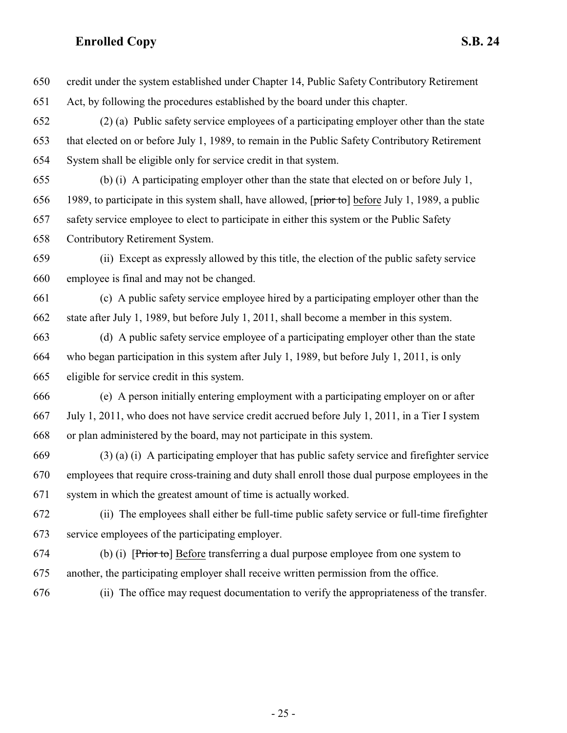- credit under the system established under Chapter 14, Public Safety Contributory Retirement Act, by following the procedures established by the board under this chapter. (2) (a) Public safety service employees of a participating employer other than the state that elected on or before July 1, 1989, to remain in the Public Safety Contributory Retirement System shall be eligible only for service credit in that system. (b) (i) A participating employer other than the state that elected on or before July 1, 656 1989, to participate in this system shall, have allowed,  $[\text{prior to}]$  before July 1, 1989, a public safety service employee to elect to participate in either this system or the Public Safety Contributory Retirement System. (ii) Except as expressly allowed by this title, the election of the public safety service employee is final and may not be changed. (c) A public safety service employee hired by a participating employer other than the state after July 1, 1989, but before July 1, 2011, shall become a member in this system. (d) A public safety service employee of a participating employer other than the state who began participation in this system after July 1, 1989, but before July 1, 2011, is only eligible for service credit in this system. (e) A person initially entering employment with a participating employer on or after July 1, 2011, who does not have service credit accrued before July 1, 2011, in a Tier I system or plan administered by the board, may not participate in this system. (3) (a) (i) A participating employer that has public safety service and firefighter service employees that require cross-training and duty shall enroll those dual purpose employees in the system in which the greatest amount of time is actually worked. (ii) The employees shall either be full-time public safety service or full-time firefighter service employees of the participating employer.
- (b) (i) [Prior to] Before transferring a dual purpose employee from one system to another, the participating employer shall receive written permission from the office.
- (ii) The office may request documentation to verify the appropriateness of the transfer.

- 25 -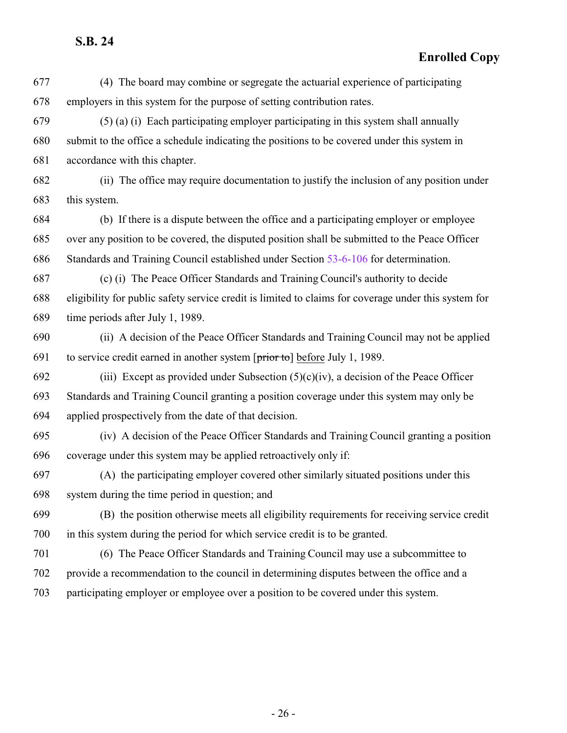- (4) The board may combine or segregate the actuarial experience of participating employers in this system for the purpose of setting contribution rates.
- (5) (a) (i) Each participating employer participating in this system shall annually submit to the office a schedule indicating the positions to be covered under this system in accordance with this chapter.
- (ii) The office may require documentation to justify the inclusion of any position under this system.
- (b) If there is a dispute between the office and a participating employer or employee over any position to be covered, the disputed position shall be submitted to the Peace Officer Standards and Training Council established under Section [53-6-106](http://le.utah.gov/UtahCode/SectionLookup.jsp?section=53-6-106&session=2022GS) for determination.
- (c) (i) The Peace Officer Standards and Training Council's authority to decide eligibility for public safety service credit is limited to claims for coverage under this system for time periods after July 1, 1989.
- (ii) A decision of the Peace Officer Standards and Training Council may not be applied 691 to service credit earned in another system  $[\overrightarrow{prior\ to}]$  before July 1, 1989.
- 692 (iii) Except as provided under Subsection  $(5)(c)(iv)$ , a decision of the Peace Officer Standards and Training Council granting a position coverage under this system may only be applied prospectively from the date of that decision.
- (iv) A decision of the Peace Officer Standards and Training Council granting a position coverage under this system may be applied retroactively only if:
- (A) the participating employer covered other similarly situated positions under this system during the time period in question; and
- (B) the position otherwise meets all eligibility requirements for receiving service credit in this system during the period for which service credit is to be granted.
- (6) The Peace Officer Standards and Training Council may use a subcommittee to provide a recommendation to the council in determining disputes between the office and a participating employer or employee over a position to be covered under this system.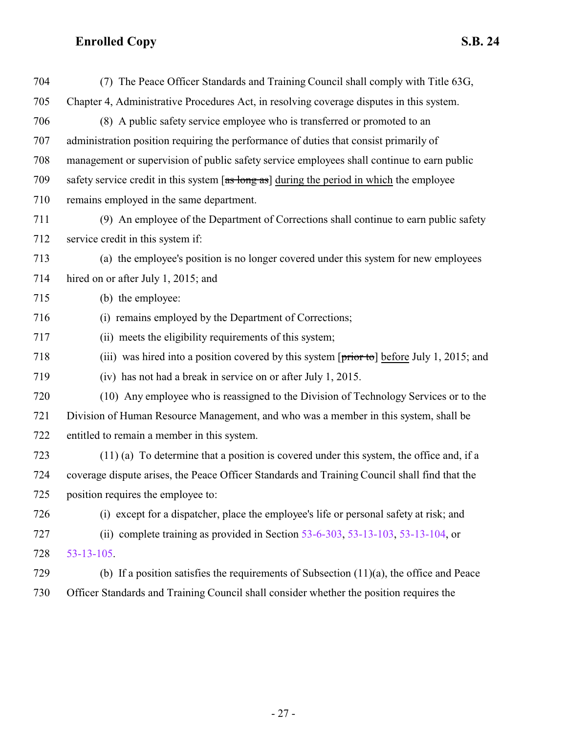| 704 | (7) The Peace Officer Standards and Training Council shall comply with Title 63G,                        |
|-----|----------------------------------------------------------------------------------------------------------|
| 705 | Chapter 4, Administrative Procedures Act, in resolving coverage disputes in this system.                 |
| 706 | (8) A public safety service employee who is transferred or promoted to an                                |
| 707 | administration position requiring the performance of duties that consist primarily of                    |
| 708 | management or supervision of public safety service employees shall continue to earn public               |
| 709 | safety service credit in this system $[as \log as]$ during the period in which the employee              |
| 710 | remains employed in the same department.                                                                 |
| 711 | (9) An employee of the Department of Corrections shall continue to earn public safety                    |
| 712 | service credit in this system if:                                                                        |
| 713 | (a) the employee's position is no longer covered under this system for new employees                     |
| 714 | hired on or after July 1, 2015; and                                                                      |
| 715 | (b) the employee:                                                                                        |
| 716 | (i) remains employed by the Department of Corrections;                                                   |
| 717 | (ii) meets the eligibility requirements of this system;                                                  |
| 718 | (iii) was hired into a position covered by this system $[\overline{prior\ to}]$ before July 1, 2015; and |
| 719 | (iv) has not had a break in service on or after July 1, 2015.                                            |
| 720 | (10) Any employee who is reassigned to the Division of Technology Services or to the                     |
| 721 | Division of Human Resource Management, and who was a member in this system, shall be                     |
| 722 | entitled to remain a member in this system.                                                              |
| 723 | $(11)$ (a) To determine that a position is covered under this system, the office and, if a               |
| 724 | coverage dispute arises, the Peace Officer Standards and Training Council shall find that the            |
| 725 | position requires the employee to:                                                                       |
| 726 | (i) except for a dispatcher, place the employee's life or personal safety at risk; and                   |
| 727 | (ii) complete training as provided in Section $53-6-303$ , $53-13-103$ , $53-13-104$ , or                |
| 728 | $53 - 13 - 105$ .                                                                                        |
| 729 | (b) If a position satisfies the requirements of Subsection $(11)(a)$ , the office and Peace              |
| 730 | Officer Standards and Training Council shall consider whether the position requires the                  |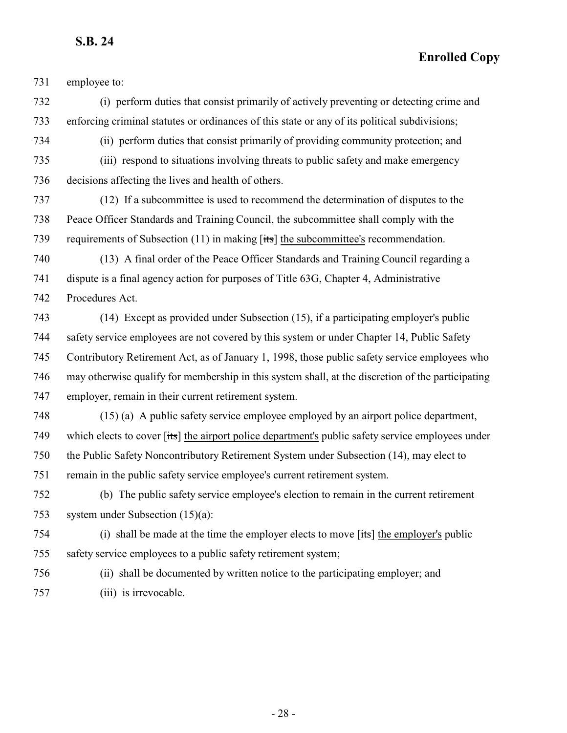**Enrolled Copy**

employee to:

 (i) perform duties that consist primarily of actively preventing or detecting crime and enforcing criminal statutes or ordinances of this state or any of its political subdivisions;

(ii) perform duties that consist primarily of providing community protection; and

 (iii) respond to situations involving threats to public safety and make emergency decisions affecting the lives and health of others.

 (12) If a subcommittee is used to recommend the determination of disputes to the Peace Officer Standards and Training Council, the subcommittee shall comply with the requirements of Subsection (11) in making [its] the subcommittee's recommendation.

 (13) A final order of the Peace Officer Standards and Training Council regarding a dispute is a final agency action for purposes of Title 63G, Chapter 4, Administrative Procedures Act.

 (14) Except as provided under Subsection (15), if a participating employer's public safety service employees are not covered by this system or under Chapter 14, Public Safety Contributory Retirement Act, as of January 1, 1998, those public safety service employees who may otherwise qualify for membership in this system shall, at the discretion of the participating employer, remain in their current retirement system.

 (15) (a) A public safety service employee employed by an airport police department, 749 which elects to cover [its] the airport police department's public safety service employees under the Public Safety Noncontributory Retirement System under Subsection (14), may elect to remain in the public safety service employee's current retirement system.

 (b) The public safety service employee's election to remain in the current retirement system under Subsection (15)(a):

 (i) shall be made at the time the employer elects to move [its] the employer's public safety service employees to a public safety retirement system;

 (ii) shall be documented by written notice to the participating employer; and (iii) is irrevocable.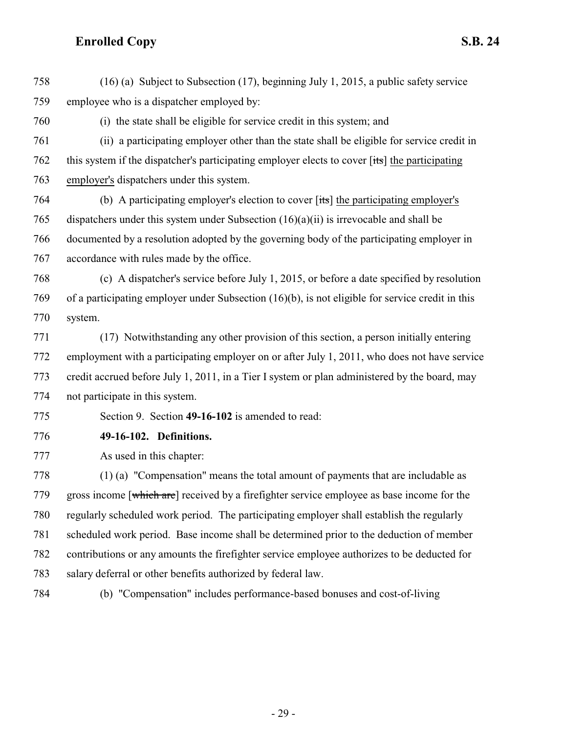(16) (a) Subject to Subsection (17), beginning July 1, 2015, a public safety service employee who is a dispatcher employed by:

(i) the state shall be eligible for service credit in this system; and

 (ii) a participating employer other than the state shall be eligible for service credit in this system if the dispatcher's participating employer elects to cover [its] the participating employer's dispatchers under this system.

 (b) A participating employer's election to cover [its] the participating employer's dispatchers under this system under Subsection (16)(a)(ii) is irrevocable and shall be documented by a resolution adopted by the governing body of the participating employer in accordance with rules made by the office.

 (c) A dispatcher's service before July 1, 2015, or before a date specified by resolution of a participating employer under Subsection (16)(b), is not eligible for service credit in this system.

 (17) Notwithstanding any other provision of this section, a person initially entering employment with a participating employer on or after July 1, 2011, who does not have service credit accrued before July 1, 2011, in a Tier I system or plan administered by the board, may not participate in this system.

Section 9. Section **49-16-102** is amended to read:

<span id="page-28-0"></span>

**49-16-102. Definitions.**

As used in this chapter:

 (1) (a) "Compensation" means the total amount of payments that are includable as 779 gross income [which are] received by a firefighter service employee as base income for the regularly scheduled work period. The participating employer shall establish the regularly scheduled work period. Base income shall be determined prior to the deduction of member contributions or any amounts the firefighter service employee authorizes to be deducted for salary deferral or other benefits authorized by federal law.

(b) "Compensation" includes performance-based bonuses and cost-of-living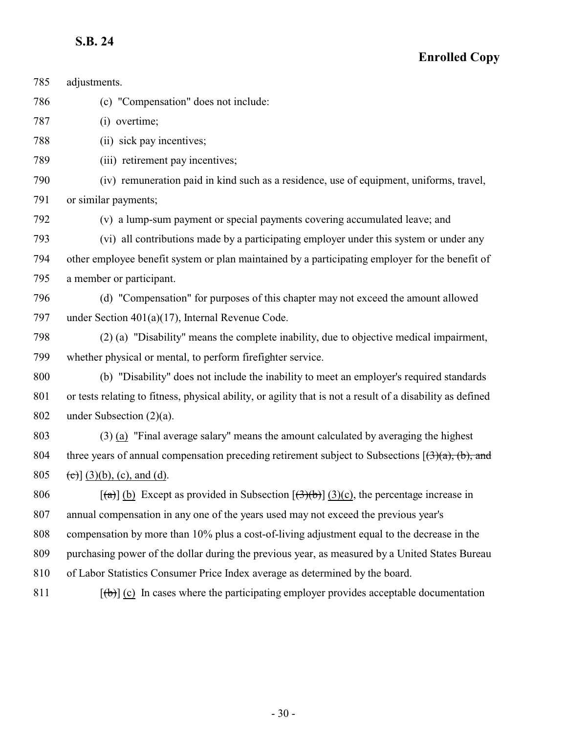| 785 | adjustments.                                                                                                                    |
|-----|---------------------------------------------------------------------------------------------------------------------------------|
| 786 | (c) "Compensation" does not include:                                                                                            |
| 787 | (i) overtime;                                                                                                                   |
| 788 | (ii) sick pay incentives;                                                                                                       |
| 789 | (iii) retirement pay incentives;                                                                                                |
| 790 | (iv) remuneration paid in kind such as a residence, use of equipment, uniforms, travel,                                         |
| 791 | or similar payments;                                                                                                            |
| 792 | (v) a lump-sum payment or special payments covering accumulated leave; and                                                      |
| 793 | (vi) all contributions made by a participating employer under this system or under any                                          |
| 794 | other employee benefit system or plan maintained by a participating employer for the benefit of                                 |
| 795 | a member or participant.                                                                                                        |
| 796 | (d) "Compensation" for purposes of this chapter may not exceed the amount allowed                                               |
| 797 | under Section $401(a)(17)$ , Internal Revenue Code.                                                                             |
| 798 | (2) (a) "Disability" means the complete inability, due to objective medical impairment,                                         |
| 799 | whether physical or mental, to perform firefighter service.                                                                     |
| 800 | (b) "Disability" does not include the inability to meet an employer's required standards                                        |
| 801 | or tests relating to fitness, physical ability, or agility that is not a result of a disability as defined                      |
| 802 | under Subsection $(2)(a)$ .                                                                                                     |
| 803 | $(3)$ (a) "Final average salary" means the amount calculated by averaging the highest                                           |
| 804 | three years of annual compensation preceding retirement subject to Subsections $[(3)(a), (b),$ and                              |
| 805 | (c) $(3)(b)$ , (c), and (d).                                                                                                    |
| 806 | $[\text{A}]\,\text{(b)}$ Except as provided in Subsection $[\text{A}]\,\text{(b)}\,\text{B}$ (3)(c), the percentage increase in |
| 807 | annual compensation in any one of the years used may not exceed the previous year's                                             |
| 808 | compensation by more than 10% plus a cost-of-living adjustment equal to the decrease in the                                     |
| 809 | purchasing power of the dollar during the previous year, as measured by a United States Bureau                                  |
| 810 | of Labor Statistics Consumer Price Index average as determined by the board.                                                    |
| 811 | $[\phi]$ (c) In cases where the participating employer provides acceptable documentation                                        |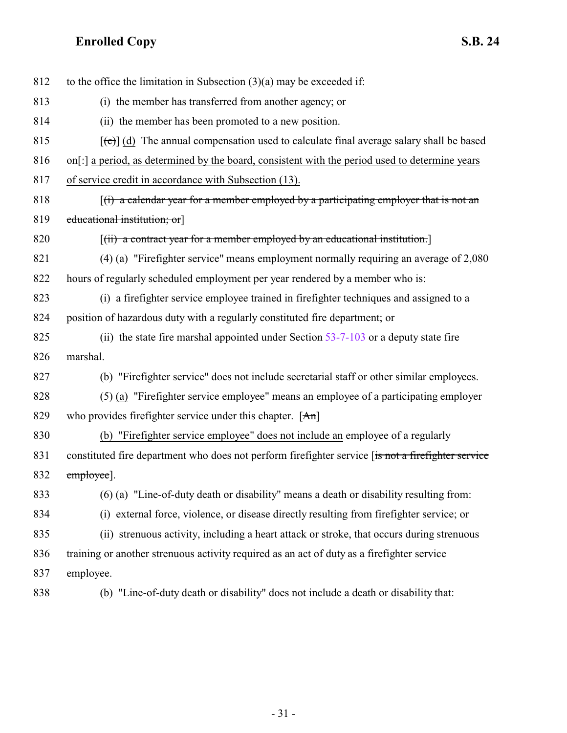| 812 | to the office the limitation in Subsection $(3)(a)$ may be exceeded if:                                     |
|-----|-------------------------------------------------------------------------------------------------------------|
| 813 | (i) the member has transferred from another agency; or                                                      |
| 814 | (ii) the member has been promoted to a new position.                                                        |
| 815 | $[\text{e}(\text{e})]$ (d) The annual compensation used to calculate final average salary shall be based    |
| 816 | on[:] a period, as determined by the board, consistent with the period used to determine years              |
| 817 | of service credit in accordance with Subsection (13).                                                       |
| 818 | $\left[\right(\mathbf{r})$ a calendar year for a member employed by a participating employer that is not an |
| 819 | educational institution; or                                                                                 |
| 820 | $\left[\left(\text{ii}\right)$ a contract year for a member employed by an educational institution.         |
| 821 | $(4)$ (a) "Firefighter service" means employment normally requiring an average of 2,080                     |
| 822 | hours of regularly scheduled employment per year rendered by a member who is:                               |
| 823 | (i) a firefighter service employee trained in firefighter techniques and assigned to a                      |
| 824 | position of hazardous duty with a regularly constituted fire department; or                                 |
| 825 | (ii) the state fire marshal appointed under Section 53-7-103 or a deputy state fire                         |
| 826 | marshal.                                                                                                    |
| 827 | (b) "Firefighter service" does not include secretarial staff or other similar employees.                    |
| 828 | (5) (a) "Firefighter service employee" means an employee of a participating employer                        |
| 829 | who provides firefighter service under this chapter. $[An]$                                                 |
| 830 | (b) "Firefighter service employee" does not include an employee of a regularly                              |
| 831 | constituted fire department who does not perform firefighter service [is not a firefighter service          |
| 832 | employee].                                                                                                  |
| 833 | (6) (a) "Line-of-duty death or disability" means a death or disability resulting from:                      |
| 834 | (i) external force, violence, or disease directly resulting from firefighter service; or                    |
| 835 | (ii) strenuous activity, including a heart attack or stroke, that occurs during strenuous                   |
| 836 | training or another strenuous activity required as an act of duty as a firefighter service                  |
| 837 | employee.                                                                                                   |
| 838 | (b) "Line-of-duty death or disability" does not include a death or disability that:                         |

- 31 -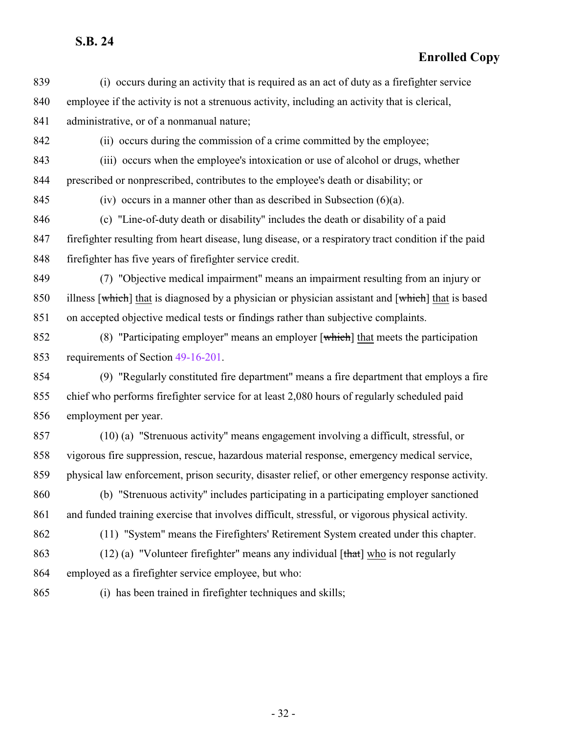| 839 | (i) occurs during an activity that is required as an act of duty as a firefighter service            |
|-----|------------------------------------------------------------------------------------------------------|
| 840 | employee if the activity is not a strenuous activity, including an activity that is clerical,        |
| 841 | administrative, or of a nonmanual nature;                                                            |
| 842 | (ii) occurs during the commission of a crime committed by the employee;                              |
| 843 | (iii) occurs when the employee's intoxication or use of alcohol or drugs, whether                    |
| 844 | prescribed or nonprescribed, contributes to the employee's death or disability; or                   |
| 845 | (iv) occurs in a manner other than as described in Subsection $(6)(a)$ .                             |
| 846 | (c) "Line-of-duty death or disability" includes the death or disability of a paid                    |
| 847 | firefighter resulting from heart disease, lung disease, or a respiratory tract condition if the paid |
| 848 | firefighter has five years of firefighter service credit.                                            |
| 849 | (7) "Objective medical impairment" means an impairment resulting from an injury or                   |
| 850 | illness [which] that is diagnosed by a physician or physician assistant and [which] that is based    |
| 851 | on accepted objective medical tests or findings rather than subjective complaints.                   |
| 852 | (8) "Participating employer" means an employer $[\text{which}]$ that meets the participation         |
| 853 | requirements of Section 49-16-201.                                                                   |
| 854 | (9) "Regularly constituted fire department" means a fire department that employs a fire              |
| 855 | chief who performs firefighter service for at least 2,080 hours of regularly scheduled paid          |
| 856 | employment per year.                                                                                 |
| 857 | (10) (a) "Strenuous activity" means engagement involving a difficult, stressful, or                  |
| 858 | vigorous fire suppression, rescue, hazardous material response, emergency medical service,           |
| 859 | physical law enforcement, prison security, disaster relief, or other emergency response activity.    |
| 860 | (b) "Strenuous activity" includes participating in a participating employer sanctioned               |
| 861 | and funded training exercise that involves difficult, stressful, or vigorous physical activity.      |
| 862 | (11) "System" means the Firefighters' Retirement System created under this chapter.                  |
| 863 | $(12)$ (a) "Volunteer firefighter" means any individual [that] who is not regularly                  |
| 864 | employed as a firefighter service employee, but who:                                                 |
| 865 | (i) has been trained in firefighter techniques and skills;                                           |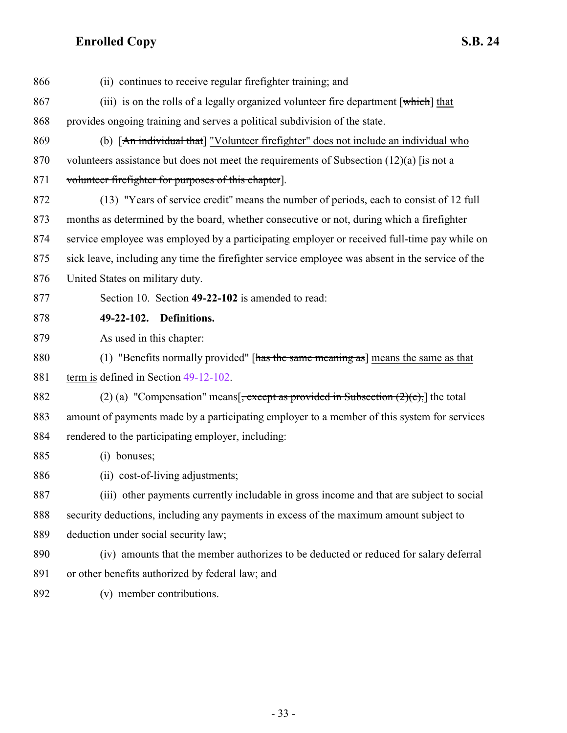<span id="page-32-0"></span>

| 866 | (ii) continues to receive regular firefighter training; and                                      |
|-----|--------------------------------------------------------------------------------------------------|
| 867 | (iii) is on the rolls of a legally organized volunteer fire department [which] that              |
| 868 | provides ongoing training and serves a political subdivision of the state.                       |
| 869 | (b) [An individual that] "Volunteer firefighter" does not include an individual who              |
| 870 | volunteers assistance but does not meet the requirements of Subsection $(12)(a)$ [is not a       |
| 871 | volunteer firefighter for purposes of this chapter.                                              |
| 872 | (13) "Years of service credit" means the number of periods, each to consist of 12 full           |
| 873 | months as determined by the board, whether consecutive or not, during which a firefighter        |
| 874 | service employee was employed by a participating employer or received full-time pay while on     |
| 875 | sick leave, including any time the firefighter service employee was absent in the service of the |
| 876 | United States on military duty.                                                                  |
| 877 | Section 10. Section 49-22-102 is amended to read:                                                |
| 878 | 49-22-102. Definitions.                                                                          |
| 879 | As used in this chapter:                                                                         |
| 880 | (1) "Benefits normally provided" [has the same meaning as] means the same as that                |
| 881 | term is defined in Section 49-12-102.                                                            |
| 882 | (2) (a) "Compensation" means $\frac{1}{2}$ , except as provided in Subsection (2)(c), the total  |
| 883 | amount of payments made by a participating employer to a member of this system for services      |
| 884 | rendered to the participating employer, including:                                               |
| 885 | (i) bonuses;                                                                                     |
| 886 | (ii) cost-of-living adjustments;                                                                 |
| 887 | (iii) other payments currently includable in gross income and that are subject to social         |
| 888 | security deductions, including any payments in excess of the maximum amount subject to           |
| 889 | deduction under social security law;                                                             |
| 890 | (iv) amounts that the member authorizes to be deducted or reduced for salary deferral            |
| 891 | or other benefits authorized by federal law; and                                                 |
| 892 | (v) member contributions.                                                                        |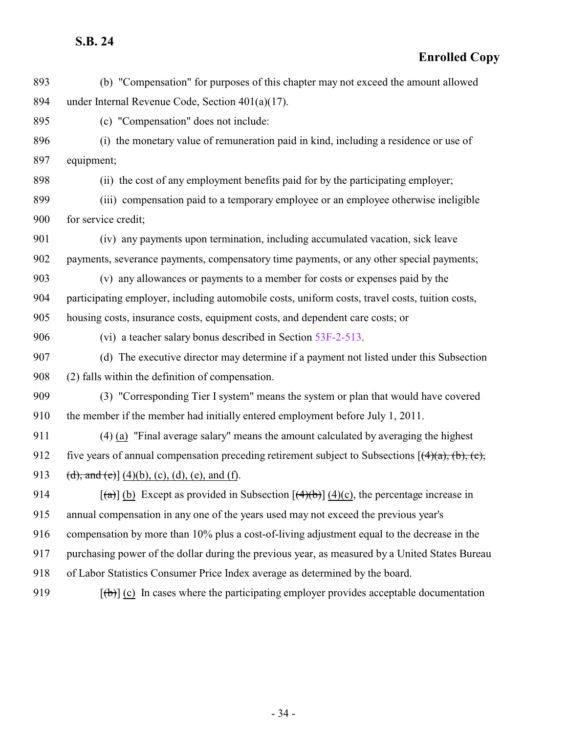| 893 | (b) "Compensation" for purposes of this chapter may not exceed the amount allowed                    |
|-----|------------------------------------------------------------------------------------------------------|
| 894 | under Internal Revenue Code, Section $401(a)(17)$ .                                                  |
| 895 | (c) "Compensation" does not include:                                                                 |
| 896 | (i) the monetary value of remuneration paid in kind, including a residence or use of                 |
| 897 | equipment;                                                                                           |
| 898 | (ii) the cost of any employment benefits paid for by the participating employer;                     |
| 899 | (iii) compensation paid to a temporary employee or an employee otherwise ineligible                  |
| 900 | for service credit;                                                                                  |
| 901 | (iv) any payments upon termination, including accumulated vacation, sick leave                       |
| 902 | payments, severance payments, compensatory time payments, or any other special payments;             |
| 903 | (v) any allowances or payments to a member for costs or expenses paid by the                         |
| 904 | participating employer, including automobile costs, uniform costs, travel costs, tuition costs,      |
| 905 | housing costs, insurance costs, equipment costs, and dependent care costs; or                        |
| 906 | (vi) a teacher salary bonus described in Section 53F-2-513.                                          |
| 907 | (d) The executive director may determine if a payment not listed under this Subsection               |
| 908 | (2) falls within the definition of compensation.                                                     |
| 909 | (3) "Corresponding Tier I system" means the system or plan that would have covered                   |
| 910 | the member if the member had initially entered employment before July 1, 2011.                       |
| 911 | (4) (a) "Final average salary" means the amount calculated by averaging the highest                  |
| 912 | five years of annual compensation preceding retirement subject to Subsections $[(4)(a), (b), (c),$   |
| 913 | (d), and (e)] (4)(b), (c), (d), (e), and (f).                                                        |
| 914 | $\lceil$ (a) (b) Except as provided in Subsection $\lceil$ (4)(b) (4)(c), the percentage increase in |
| 915 | annual compensation in any one of the years used may not exceed the previous year's                  |
| 916 | compensation by more than 10% plus a cost-of-living adjustment equal to the decrease in the          |
| 917 | purchasing power of the dollar during the previous year, as measured by a United States Bureau       |
| 918 | of Labor Statistics Consumer Price Index average as determined by the board.                         |
| 919 | $[\phi]$ (c) In cases where the participating employer provides acceptable documentation             |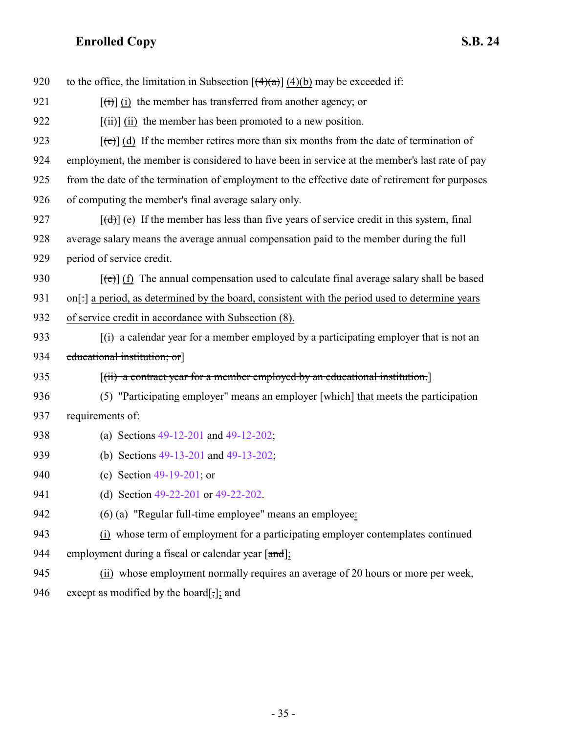| 920 | to the office, the limitation in Subsection $[(4)(a)]$ (4)(b) may be exceeded if:                        |
|-----|----------------------------------------------------------------------------------------------------------|
| 921 | $[\overrightarrow{t}]$ (i) the member has transferred from another agency; or                            |
| 922 | $[\overrightarrow{tii}]$ (ii) the member has been promoted to a new position.                            |
| 923 | $[\text{e}(\text{e})]$ (d) If the member retires more than six months from the date of termination of    |
| 924 | employment, the member is considered to have been in service at the member's last rate of pay            |
| 925 | from the date of the termination of employment to the effective date of retirement for purposes          |
| 926 | of computing the member's final average salary only.                                                     |
| 927 | $[\text{td}]$ (e) If the member has less than five years of service credit in this system, final         |
| 928 | average salary means the average annual compensation paid to the member during the full                  |
| 929 | period of service credit.                                                                                |
| 930 | $[\text{e}(\text{e})]$ (f) The annual compensation used to calculate final average salary shall be based |
| 931 | on[: ] a period, as determined by the board, consistent with the period used to determine years          |
| 932 | of service credit in accordance with Subsection (8).                                                     |
| 933 | $(i)$ a calendar year for a member employed by a participating employer that is not an                   |
| 934 | educational institution; or                                                                              |
| 935 | $[(ii)$ a contract year for a member employed by an educational institution.                             |
| 936 | (5) "Participating employer" means an employer $\lceil$ which $\rceil$ that meets the participation      |
| 937 | requirements of:                                                                                         |
| 938 | (a) Sections $49-12-201$ and $49-12-202$ ;                                                               |
| 939 | (b) Sections 49-13-201 and 49-13-202;                                                                    |
| 940 | (c) Section $49-19-201$ ; or                                                                             |
| 941 | (d) Section 49-22-201 or 49-22-202.                                                                      |
| 942 | (6) (a) "Regular full-time employee" means an employee:                                                  |
| 943 | (i) whose term of employment for a participating employer contemplates continued                         |
| 944 | employment during a fiscal or calendar year [and];                                                       |
| 945 | (ii) whose employment normally requires an average of 20 hours or more per week,                         |
| 946 | except as modified by the board[,]; and                                                                  |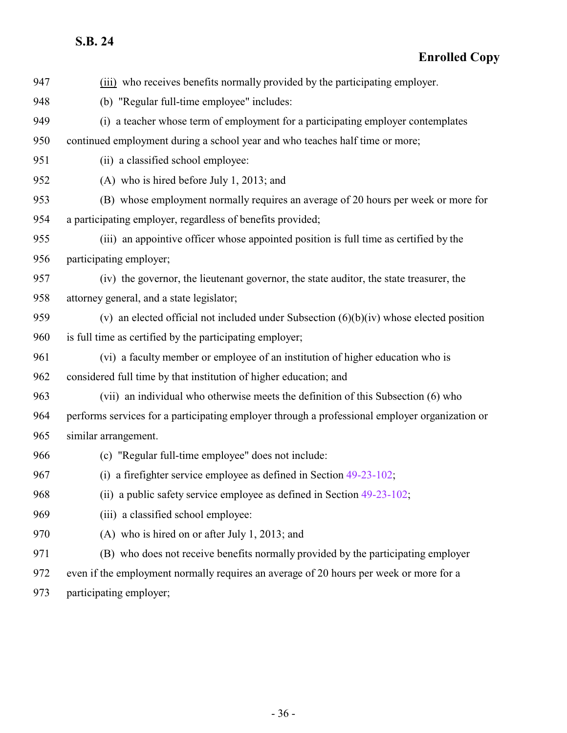| 947 | (iii) who receives benefits normally provided by the participating employer.                   |
|-----|------------------------------------------------------------------------------------------------|
| 948 | (b) "Regular full-time employee" includes:                                                     |
| 949 | (i) a teacher whose term of employment for a participating employer contemplates               |
| 950 | continued employment during a school year and who teaches half time or more;                   |
| 951 | (ii) a classified school employee:                                                             |
| 952 | (A) who is hired before July 1, 2013; and                                                      |
| 953 | (B) whose employment normally requires an average of 20 hours per week or more for             |
| 954 | a participating employer, regardless of benefits provided;                                     |
| 955 | (iii) an appointive officer whose appointed position is full time as certified by the          |
| 956 | participating employer;                                                                        |
| 957 | (iv) the governor, the lieutenant governor, the state auditor, the state treasurer, the        |
| 958 | attorney general, and a state legislator;                                                      |
| 959 | (v) an elected official not included under Subsection $(6)(b)(iv)$ whose elected position      |
| 960 | is full time as certified by the participating employer;                                       |
| 961 | (vi) a faculty member or employee of an institution of higher education who is                 |
| 962 | considered full time by that institution of higher education; and                              |
| 963 | (vii) an individual who otherwise meets the definition of this Subsection (6) who              |
| 964 | performs services for a participating employer through a professional employer organization or |
| 965 | similar arrangement.                                                                           |
| 966 | (c) "Regular full-time employee" does not include:                                             |
| 967 | (i) a firefighter service employee as defined in Section $49-23-102$ ;                         |
| 968 | (ii) a public safety service employee as defined in Section 49-23-102;                         |
| 969 | (iii) a classified school employee:                                                            |
| 970 | (A) who is hired on or after July 1, 2013; and                                                 |
| 971 | (B) who does not receive benefits normally provided by the participating employer              |
| 972 | even if the employment normally requires an average of 20 hours per week or more for a         |
| 973 | participating employer;                                                                        |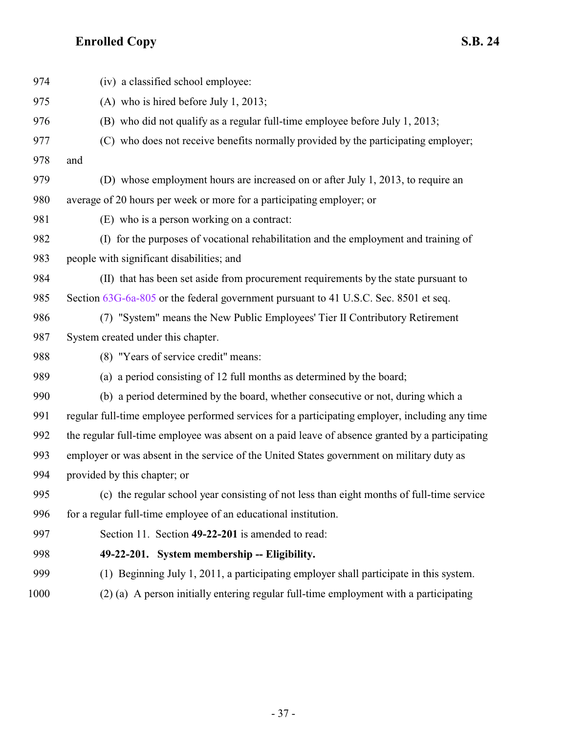<span id="page-36-0"></span>

| 974  | (iv) a classified school employee:                                                              |
|------|-------------------------------------------------------------------------------------------------|
| 975  | (A) who is hired before July 1, 2013;                                                           |
| 976  | (B) who did not qualify as a regular full-time employee before July 1, 2013;                    |
| 977  | (C) who does not receive benefits normally provided by the participating employer;              |
| 978  | and                                                                                             |
| 979  | (D) whose employment hours are increased on or after July 1, 2013, to require an                |
| 980  | average of 20 hours per week or more for a participating employer; or                           |
| 981  | (E) who is a person working on a contract:                                                      |
| 982  | (I) for the purposes of vocational rehabilitation and the employment and training of            |
| 983  | people with significant disabilities; and                                                       |
| 984  | (II) that has been set aside from procurement requirements by the state pursuant to             |
| 985  | Section 63G-6a-805 or the federal government pursuant to 41 U.S.C. Sec. 8501 et seq.            |
| 986  | (7) "System" means the New Public Employees' Tier II Contributory Retirement                    |
| 987  | System created under this chapter.                                                              |
| 988  | (8) "Years of service credit" means:                                                            |
| 989  | (a) a period consisting of 12 full months as determined by the board;                           |
| 990  | (b) a period determined by the board, whether consecutive or not, during which a                |
| 991  | regular full-time employee performed services for a participating employer, including any time  |
| 992  | the regular full-time employee was absent on a paid leave of absence granted by a participating |
| 993  | employer or was absent in the service of the United States government on military duty as       |
| 994  | provided by this chapter; or                                                                    |
| 995  | (c) the regular school year consisting of not less than eight months of full-time service       |
| 996  | for a regular full-time employee of an educational institution.                                 |
| 997  | Section 11. Section 49-22-201 is amended to read:                                               |
| 998  | 49-22-201. System membership -- Eligibility.                                                    |
| 999  | (1) Beginning July 1, 2011, a participating employer shall participate in this system.          |
| 1000 | (2) (a) A person initially entering regular full-time employment with a participating           |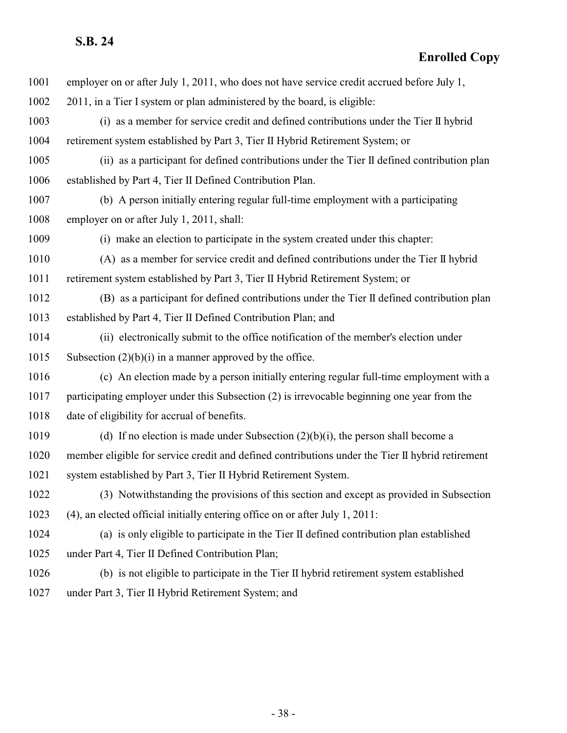| 1001 | employer on or after July 1, 2011, who does not have service credit accrued before July 1,       |
|------|--------------------------------------------------------------------------------------------------|
| 1002 | 2011, in a Tier I system or plan administered by the board, is eligible:                         |
| 1003 | (i) as a member for service credit and defined contributions under the Tier II hybrid            |
| 1004 | retirement system established by Part 3, Tier II Hybrid Retirement System; or                    |
| 1005 | (ii) as a participant for defined contributions under the Tier II defined contribution plan      |
| 1006 | established by Part 4, Tier II Defined Contribution Plan.                                        |
| 1007 | (b) A person initially entering regular full-time employment with a participating                |
| 1008 | employer on or after July 1, 2011, shall:                                                        |
| 1009 | (i) make an election to participate in the system created under this chapter:                    |
| 1010 | (A) as a member for service credit and defined contributions under the Tier II hybrid            |
| 1011 | retirement system established by Part 3, Tier II Hybrid Retirement System; or                    |
| 1012 | (B) as a participant for defined contributions under the Tier II defined contribution plan       |
| 1013 | established by Part 4, Tier II Defined Contribution Plan; and                                    |
| 1014 | (ii) electronically submit to the office notification of the member's election under             |
| 1015 | Subsection $(2)(b)(i)$ in a manner approved by the office.                                       |
| 1016 | (c) An election made by a person initially entering regular full-time employment with a          |
| 1017 | participating employer under this Subsection (2) is irrevocable beginning one year from the      |
| 1018 | date of eligibility for accrual of benefits.                                                     |
| 1019 | (d) If no election is made under Subsection $(2)(b)(i)$ , the person shall become a              |
| 1020 | member eligible for service credit and defined contributions under the Tier II hybrid retirement |
| 1021 | system established by Part 3, Tier II Hybrid Retirement System.                                  |
| 1022 | (3) Notwithstanding the provisions of this section and except as provided in Subsection          |
| 1023 | (4), an elected official initially entering office on or after July 1, 2011:                     |
| 1024 | (a) is only eligible to participate in the Tier II defined contribution plan established         |
| 1025 | under Part 4, Tier II Defined Contribution Plan;                                                 |
| 1026 | (b) is not eligible to participate in the Tier II hybrid retirement system established           |
| 1027 | under Part 3, Tier II Hybrid Retirement System; and                                              |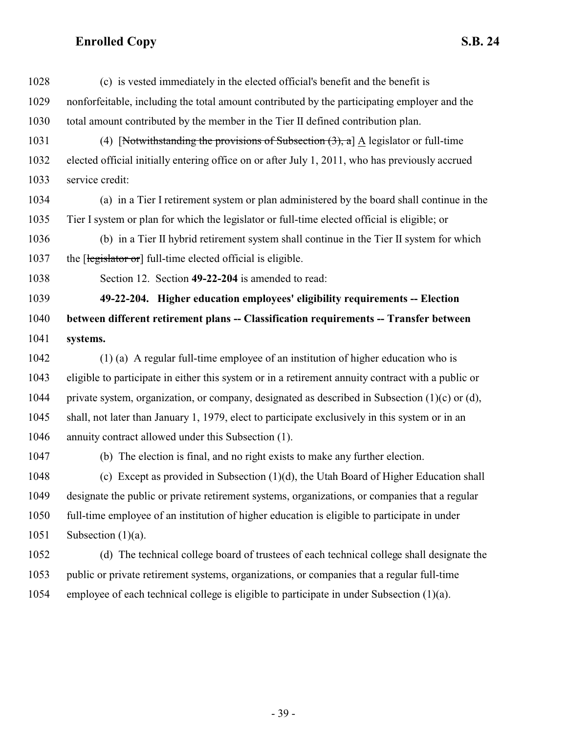<span id="page-38-0"></span>

| 1028 | (c) is vested immediately in the elected official's benefit and the benefit is                      |
|------|-----------------------------------------------------------------------------------------------------|
| 1029 | nonforfeitable, including the total amount contributed by the participating employer and the        |
| 1030 | total amount contributed by the member in the Tier II defined contribution plan.                    |
| 1031 | (4) [Notwithstanding the provisions of Subsection $(3)$ , a] A legislator or full-time              |
| 1032 | elected official initially entering office on or after July 1, 2011, who has previously accrued     |
| 1033 | service credit:                                                                                     |
| 1034 | (a) in a Tier I retirement system or plan administered by the board shall continue in the           |
| 1035 | Tier I system or plan for which the legislator or full-time elected official is eligible; or        |
| 1036 | (b) in a Tier II hybrid retirement system shall continue in the Tier II system for which            |
| 1037 | the [legislator or] full-time elected official is eligible.                                         |
| 1038 | Section 12. Section 49-22-204 is amended to read:                                                   |
| 1039 | 49-22-204. Higher education employees' eligibility requirements -- Election                         |
| 1040 | between different retirement plans -- Classification requirements -- Transfer between               |
| 1041 | systems.                                                                                            |
| 1042 | $(1)$ (a) A regular full-time employee of an institution of higher education who is                 |
| 1043 | eligible to participate in either this system or in a retirement annuity contract with a public or  |
| 1044 | private system, organization, or company, designated as described in Subsection $(1)(c)$ or $(d)$ , |
| 1045 | shall, not later than January 1, 1979, elect to participate exclusively in this system or in an     |
| 1046 | annuity contract allowed under this Subsection (1).                                                 |
| 1047 | (b) The election is final, and no right exists to make any further election.                        |
| 1048 | (c) Except as provided in Subsection $(1)(d)$ , the Utah Board of Higher Education shall            |
| 1049 | designate the public or private retirement systems, organizations, or companies that a regular      |
| 1050 | full-time employee of an institution of higher education is eligible to participate in under        |
| 1051 | Subsection $(1)(a)$ .                                                                               |
| 1052 | (d) The technical college board of trustees of each technical college shall designate the           |
| 1053 | public or private retirement systems, organizations, or companies that a regular full-time          |
| 1054 | employee of each technical college is eligible to participate in under Subsection (1)(a).           |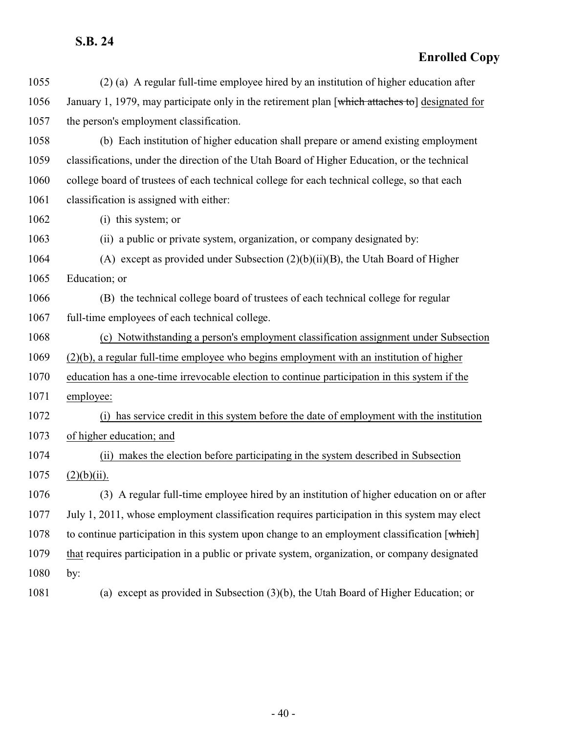| 1055 | (2) (a) A regular full-time employee hired by an institution of higher education after          |
|------|-------------------------------------------------------------------------------------------------|
| 1056 | January 1, 1979, may participate only in the retirement plan [which attaches to] designated for |
| 1057 | the person's employment classification.                                                         |
| 1058 | (b) Each institution of higher education shall prepare or amend existing employment             |
| 1059 | classifications, under the direction of the Utah Board of Higher Education, or the technical    |
| 1060 | college board of trustees of each technical college for each technical college, so that each    |
| 1061 | classification is assigned with either:                                                         |
| 1062 | (i) this system; or                                                                             |
| 1063 | (ii) a public or private system, organization, or company designated by:                        |
| 1064 | (A) except as provided under Subsection $(2)(b)(ii)(B)$ , the Utah Board of Higher              |
| 1065 | Education; or                                                                                   |
| 1066 | (B) the technical college board of trustees of each technical college for regular               |
| 1067 | full-time employees of each technical college.                                                  |
| 1068 | (c) Notwithstanding a person's employment classification assignment under Subsection            |
| 1069 | $(2)(b)$ , a regular full-time employee who begins employment with an institution of higher     |
| 1070 | education has a one-time irrevocable election to continue participation in this system if the   |
| 1071 | employee:                                                                                       |
| 1072 | has service credit in this system before the date of employment with the institution<br>(i)     |
| 1073 | of higher education; and                                                                        |
| 1074 | (ii) makes the election before participating in the system described in Subsection              |
| 1075 | $(2)(b)(ii)$ .                                                                                  |
| 1076 | (3) A regular full-time employee hired by an institution of higher education on or after        |
| 1077 | July 1, 2011, whose employment classification requires participation in this system may elect   |
| 1078 | to continue participation in this system upon change to an employment classification [which]    |
| 1079 | that requires participation in a public or private system, organization, or company designated  |
| 1080 | by:                                                                                             |
| 1081 | (a) except as provided in Subsection $(3)(b)$ , the Utah Board of Higher Education; or          |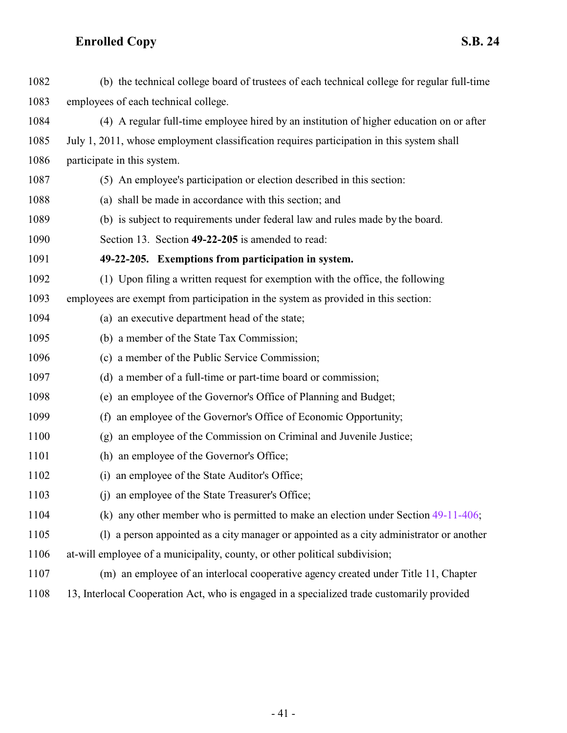<span id="page-40-0"></span>

| 1082 | (b) the technical college board of trustees of each technical college for regular full-time |
|------|---------------------------------------------------------------------------------------------|
| 1083 | employees of each technical college.                                                        |
| 1084 | (4) A regular full-time employee hired by an institution of higher education on or after    |
| 1085 | July 1, 2011, whose employment classification requires participation in this system shall   |
| 1086 | participate in this system.                                                                 |
| 1087 | (5) An employee's participation or election described in this section:                      |
| 1088 | (a) shall be made in accordance with this section; and                                      |
| 1089 | (b) is subject to requirements under federal law and rules made by the board.               |
| 1090 | Section 13. Section 49-22-205 is amended to read:                                           |
| 1091 | 49-22-205. Exemptions from participation in system.                                         |
| 1092 | (1) Upon filing a written request for exemption with the office, the following              |
| 1093 | employees are exempt from participation in the system as provided in this section:          |
| 1094 | (a) an executive department head of the state;                                              |
| 1095 | (b) a member of the State Tax Commission;                                                   |
| 1096 | (c) a member of the Public Service Commission;                                              |
| 1097 | (d) a member of a full-time or part-time board or commission;                               |
| 1098 | (e) an employee of the Governor's Office of Planning and Budget;                            |
| 1099 | an employee of the Governor's Office of Economic Opportunity;<br>(f)                        |
| 1100 | an employee of the Commission on Criminal and Juvenile Justice;<br>(g)                      |
| 1101 | (h) an employee of the Governor's Office;                                                   |
| 1102 | an employee of the State Auditor's Office;<br>(i)                                           |
| 1103 | (j) an employee of the State Treasurer's Office;                                            |
| 1104 | (k) any other member who is permitted to make an election under Section $49-11-406$ ;       |
| 1105 | (1) a person appointed as a city manager or appointed as a city administrator or another    |
| 1106 | at-will employee of a municipality, county, or other political subdivision;                 |
| 1107 | (m) an employee of an interlocal cooperative agency created under Title 11, Chapter         |
| 1108 | 13, Interlocal Cooperation Act, who is engaged in a specialized trade customarily provided  |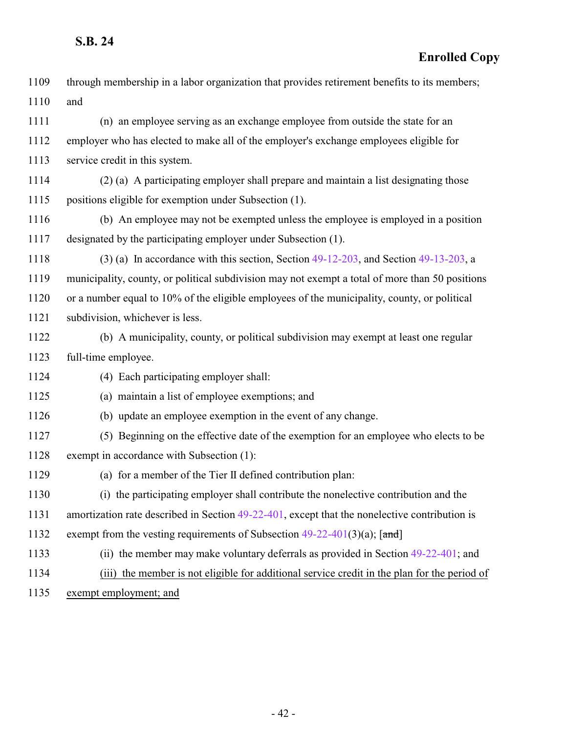| 1109 | through membership in a labor organization that provides retirement benefits to its members;     |
|------|--------------------------------------------------------------------------------------------------|
| 1110 | and                                                                                              |
| 1111 | (n) an employee serving as an exchange employee from outside the state for an                    |
| 1112 | employer who has elected to make all of the employer's exchange employees eligible for           |
| 1113 | service credit in this system.                                                                   |
| 1114 | (2) (a) A participating employer shall prepare and maintain a list designating those             |
| 1115 | positions eligible for exemption under Subsection (1).                                           |
| 1116 | (b) An employee may not be exempted unless the employee is employed in a position                |
| 1117 | designated by the participating employer under Subsection (1).                                   |
| 1118 | $(3)$ (a) In accordance with this section, Section 49-12-203, and Section 49-13-203, a           |
| 1119 | municipality, county, or political subdivision may not exempt a total of more than 50 positions  |
| 1120 | or a number equal to 10% of the eligible employees of the municipality, county, or political     |
| 1121 | subdivision, whichever is less.                                                                  |
| 1122 | (b) A municipality, county, or political subdivision may exempt at least one regular             |
| 1123 | full-time employee.                                                                              |
| 1124 | (4) Each participating employer shall:                                                           |
| 1125 | (a) maintain a list of employee exemptions; and                                                  |
| 1126 | (b) update an employee exemption in the event of any change.                                     |
| 1127 | (5) Beginning on the effective date of the exemption for an employee who elects to be            |
| 1128 | exempt in accordance with Subsection (1):                                                        |
| 1129 | (a) for a member of the Tier II defined contribution plan:                                       |
| 1130 | (i) the participating employer shall contribute the nonelective contribution and the             |
| 1131 | amortization rate described in Section $49-22-401$ , except that the nonelective contribution is |
| 1132 | exempt from the vesting requirements of Subsection $49-22-401(3)(a)$ ; [and]                     |
| 1133 | (ii) the member may make voluntary deferrals as provided in Section $49-22-401$ ; and            |
| 1134 | (iii) the member is not eligible for additional service credit in the plan for the period of     |
| 1135 | exempt employment; and                                                                           |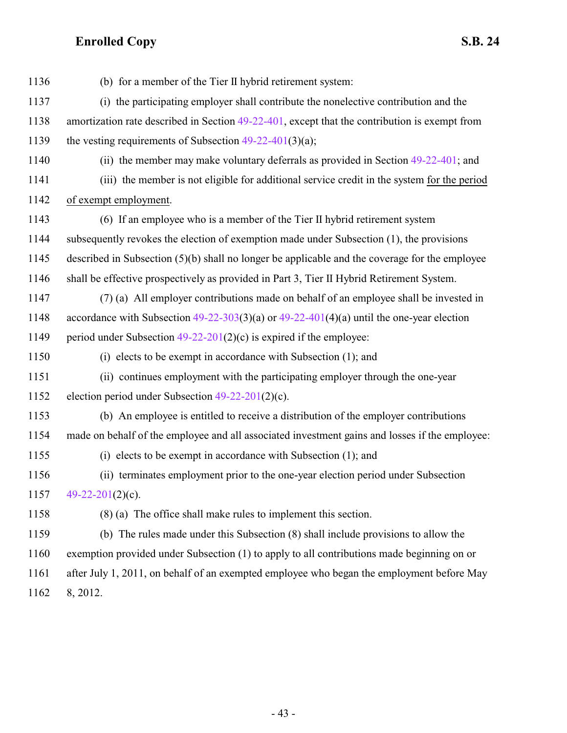| 1136 | (b) for a member of the Tier II hybrid retirement system:                                        |
|------|--------------------------------------------------------------------------------------------------|
| 1137 | (i) the participating employer shall contribute the nonelective contribution and the             |
| 1138 | amortization rate described in Section 49-22-401, except that the contribution is exempt from    |
| 1139 | the vesting requirements of Subsection $49-22-401(3)(a)$ ;                                       |
| 1140 | (ii) the member may make voluntary deferrals as provided in Section $49-22-401$ ; and            |
| 1141 | (iii) the member is not eligible for additional service credit in the system for the period      |
| 1142 | of exempt employment.                                                                            |
| 1143 | (6) If an employee who is a member of the Tier II hybrid retirement system                       |
| 1144 | subsequently revokes the election of exemption made under Subsection (1), the provisions         |
| 1145 | described in Subsection $(5)(b)$ shall no longer be applicable and the coverage for the employee |
| 1146 | shall be effective prospectively as provided in Part 3, Tier II Hybrid Retirement System.        |
| 1147 | (7) (a) All employer contributions made on behalf of an employee shall be invested in            |
| 1148 | accordance with Subsection $49-22-303(3)(a)$ or $49-22-401(4)(a)$ until the one-year election    |
| 1149 | period under Subsection $49-22-201(2)(c)$ is expired if the employee:                            |
| 1150 | (i) elects to be exempt in accordance with Subsection $(1)$ ; and                                |
| 1151 | (ii) continues employment with the participating employer through the one-year                   |
| 1152 | election period under Subsection $49-22-201(2)(c)$ .                                             |
| 1153 | (b) An employee is entitled to receive a distribution of the employer contributions              |
| 1154 | made on behalf of the employee and all associated investment gains and losses if the employee:   |
| 1155 | (i) elects to be exempt in accordance with Subsection $(1)$ ; and                                |
| 1156 | (ii) terminates employment prior to the one-year election period under Subsection                |
| 1157 | 49-22-201 $(2)(c)$ .                                                                             |
| 1158 | $(8)$ (a) The office shall make rules to implement this section.                                 |
| 1159 | (b) The rules made under this Subsection (8) shall include provisions to allow the               |
| 1160 | exemption provided under Subsection (1) to apply to all contributions made beginning on or       |
| 1161 | after July 1, 2011, on behalf of an exempted employee who began the employment before May        |
| 1162 | 8, 2012.                                                                                         |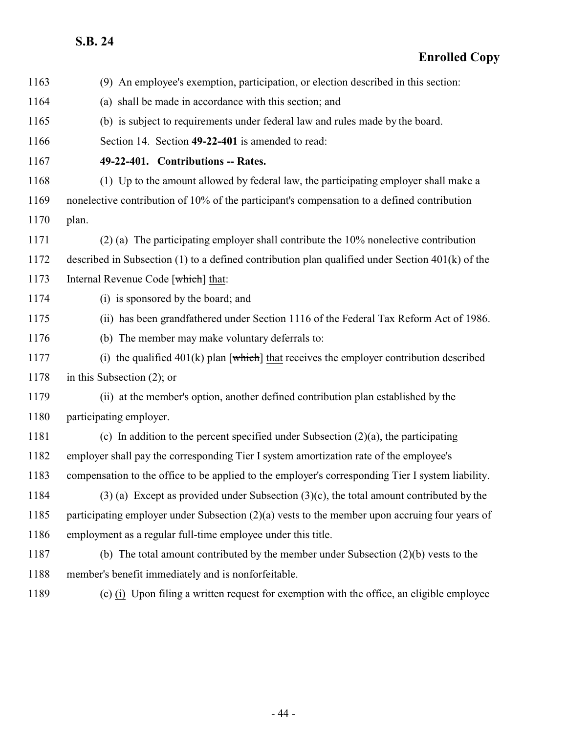<span id="page-43-0"></span>

| 1163 | (9) An employee's exemption, participation, or election described in this section:                   |
|------|------------------------------------------------------------------------------------------------------|
| 1164 | (a) shall be made in accordance with this section; and                                               |
| 1165 | (b) is subject to requirements under federal law and rules made by the board.                        |
| 1166 | Section 14. Section 49-22-401 is amended to read:                                                    |
| 1167 | 49-22-401. Contributions -- Rates.                                                                   |
| 1168 | (1) Up to the amount allowed by federal law, the participating employer shall make a                 |
| 1169 | nonelective contribution of 10% of the participant's compensation to a defined contribution          |
| 1170 | plan.                                                                                                |
| 1171 | $(2)$ (a) The participating employer shall contribute the 10% nonelective contribution               |
| 1172 | described in Subsection $(1)$ to a defined contribution plan qualified under Section $401(k)$ of the |
| 1173 | Internal Revenue Code [which] that:                                                                  |
| 1174 | (i) is sponsored by the board; and                                                                   |
| 1175 | (ii) has been grandfathered under Section 1116 of the Federal Tax Reform Act of 1986.                |
| 1176 | (b) The member may make voluntary deferrals to:                                                      |
| 1177 | (i) the qualified $401(k)$ plan [which] that receives the employer contribution described            |
| 1178 | in this Subsection $(2)$ ; or                                                                        |
| 1179 | (ii) at the member's option, another defined contribution plan established by the                    |
| 1180 | participating employer.                                                                              |
| 1181 | (c) In addition to the percent specified under Subsection $(2)(a)$ , the participating               |
| 1182 | employer shall pay the corresponding Tier I system amortization rate of the employee's               |
| 1183 | compensation to the office to be applied to the employer's corresponding Tier I system liability.    |
| 1184 | $(3)$ (a) Except as provided under Subsection $(3)(c)$ , the total amount contributed by the         |
| 1185 | participating employer under Subsection $(2)(a)$ vests to the member upon accruing four years of     |
| 1186 | employment as a regular full-time employee under this title.                                         |
| 1187 | (b) The total amount contributed by the member under Subsection $(2)(b)$ vests to the                |
| 1188 | member's benefit immediately and is nonforfeitable.                                                  |
| 1189 | (c) (i) Upon filing a written request for exemption with the office, an eligible employee            |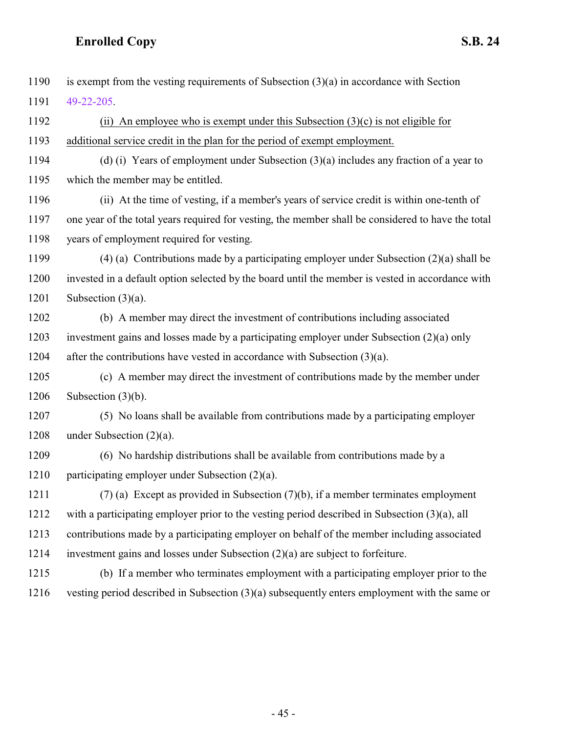is exempt from the vesting requirements of Subsection (3)(a) in accordance with Section [49-22-205](#page-40-0). (ii) An employee who is exempt under this Subsection (3)(c) is not eligible for additional service credit in the plan for the period of exempt employment. (d) (i) Years of employment under Subsection (3)(a) includes any fraction of a year to which the member may be entitled. (ii) At the time of vesting, if a member's years of service credit is within one-tenth of one year of the total years required for vesting, the member shall be considered to have the total years of employment required for vesting. (4) (a) Contributions made by a participating employer under Subsection (2)(a) shall be invested in a default option selected by the board until the member is vested in accordance with 1201 Subsection  $(3)(a)$ . (b) A member may direct the investment of contributions including associated investment gains and losses made by a participating employer under Subsection (2)(a) only 1204 after the contributions have vested in accordance with Subsection  $(3)(a)$ . (c) A member may direct the investment of contributions made by the member under Subsection (3)(b). (5) No loans shall be available from contributions made by a participating employer under Subsection (2)(a). (6) No hardship distributions shall be available from contributions made by a participating employer under Subsection (2)(a). (7) (a) Except as provided in Subsection (7)(b), if a member terminates employment with a participating employer prior to the vesting period described in Subsection (3)(a), all contributions made by a participating employer on behalf of the member including associated investment gains and losses under Subsection (2)(a) are subject to forfeiture. (b) If a member who terminates employment with a participating employer prior to the vesting period described in Subsection (3)(a) subsequently enters employment with the same or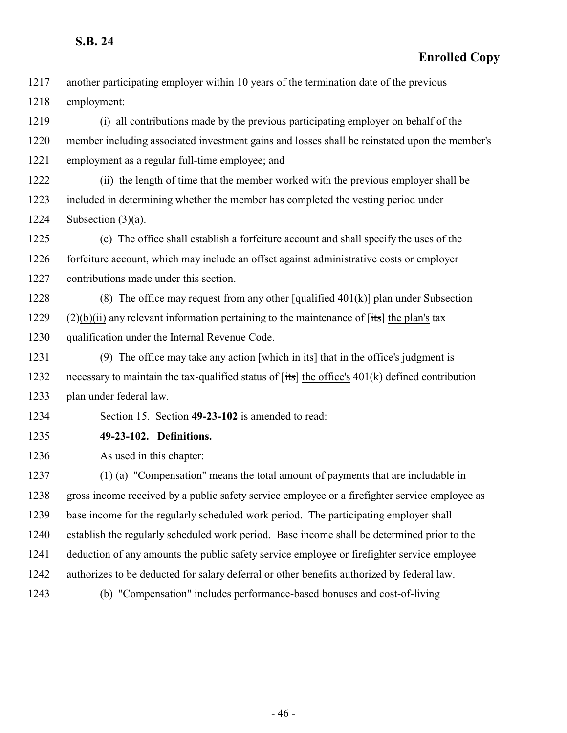#### **Enrolled Copy**

 another participating employer within 10 years of the termination date of the previous employment:

 (i) all contributions made by the previous participating employer on behalf of the member including associated investment gains and losses shall be reinstated upon the member's employment as a regular full-time employee; and

 (ii) the length of time that the member worked with the previous employer shall be included in determining whether the member has completed the vesting period under 1224 Subsection  $(3)(a)$ .

 (c) The office shall establish a forfeiture account and shall specify the uses of the forfeiture account, which may include an offset against administrative costs or employer contributions made under this section.

1228 (8) The office may request from any other  $\left[\frac{\text{qualified }401(k)}{\text{plan under Subsection}}\right]$  (2)(b)(ii) any relevant information pertaining to the maintenance of [its] the plan's tax qualification under the Internal Revenue Code.

1231 (9) The office may take any action  $[\text{which in its}]$  that in the office's judgment is 1232 necessary to maintain the tax-qualified status of  $[its]$  the office's 401(k) defined contribution plan under federal law.

<span id="page-45-0"></span>Section 15. Section **49-23-102** is amended to read:

**49-23-102. Definitions.**

As used in this chapter:

 (1) (a) "Compensation" means the total amount of payments that are includable in gross income received by a public safety service employee or a firefighter service employee as base income for the regularly scheduled work period. The participating employer shall establish the regularly scheduled work period. Base income shall be determined prior to the deduction of any amounts the public safety service employee or firefighter service employee authorizes to be deducted for salary deferral or other benefits authorized by federal law. (b) "Compensation" includes performance-based bonuses and cost-of-living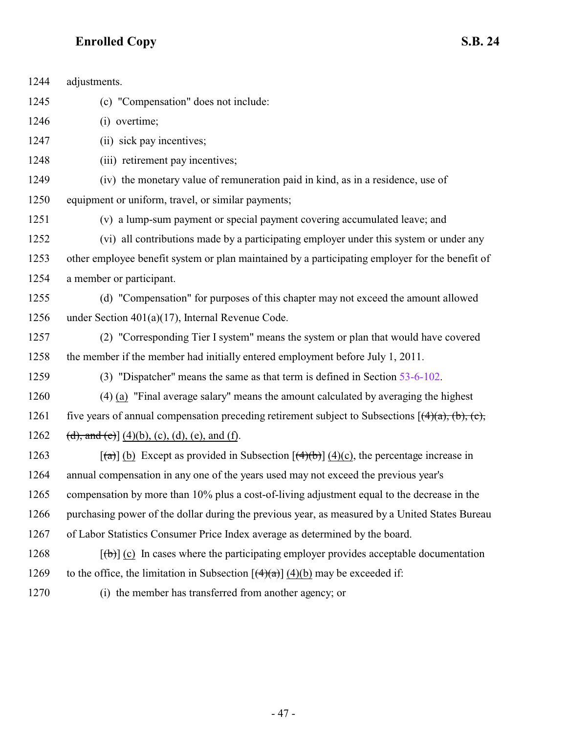| 1244 | adjustments.                                                                                           |
|------|--------------------------------------------------------------------------------------------------------|
| 1245 | (c) "Compensation" does not include:                                                                   |
| 1246 | (i) overtime;                                                                                          |
| 1247 | (ii) sick pay incentives;                                                                              |
| 1248 | (iii) retirement pay incentives;                                                                       |
| 1249 | (iv) the monetary value of remuneration paid in kind, as in a residence, use of                        |
| 1250 | equipment or uniform, travel, or similar payments;                                                     |
| 1251 | (v) a lump-sum payment or special payment covering accumulated leave; and                              |
| 1252 | (vi) all contributions made by a participating employer under this system or under any                 |
| 1253 | other employee benefit system or plan maintained by a participating employer for the benefit of        |
| 1254 | a member or participant.                                                                               |
| 1255 | (d) "Compensation" for purposes of this chapter may not exceed the amount allowed                      |
| 1256 | under Section $401(a)(17)$ , Internal Revenue Code.                                                    |
| 1257 | (2) "Corresponding Tier I system" means the system or plan that would have covered                     |
| 1258 | the member if the member had initially entered employment before July 1, 2011.                         |
| 1259 | (3) "Dispatcher" means the same as that term is defined in Section 53-6-102.                           |
| 1260 | (4) (a) "Final average salary" means the amount calculated by averaging the highest                    |
| 1261 | five years of annual compensation preceding retirement subject to Subsections $[(4)(a), (b), (c)]$     |
| 1262 | (d), and (e)] $(4)(b)$ , (c), (d), (e), and (f).                                                       |
| 1263 | $\lceil$ (a)] (b) Except as provided in Subsection $\lceil$ (4)(b)] (4)(c), the percentage increase in |
| 1264 | annual compensation in any one of the years used may not exceed the previous year's                    |
| 1265 | compensation by more than 10% plus a cost-of-living adjustment equal to the decrease in the            |
| 1266 | purchasing power of the dollar during the previous year, as measured by a United States Bureau         |
| 1267 | of Labor Statistics Consumer Price Index average as determined by the board.                           |
| 1268 | $[\phi]$ (c) In cases where the participating employer provides acceptable documentation               |
| 1269 | to the office, the limitation in Subsection $[(4)(a)] (4)(b)$ may be exceeded if:                      |
| 1270 | (i) the member has transferred from another agency; or                                                 |
|      |                                                                                                        |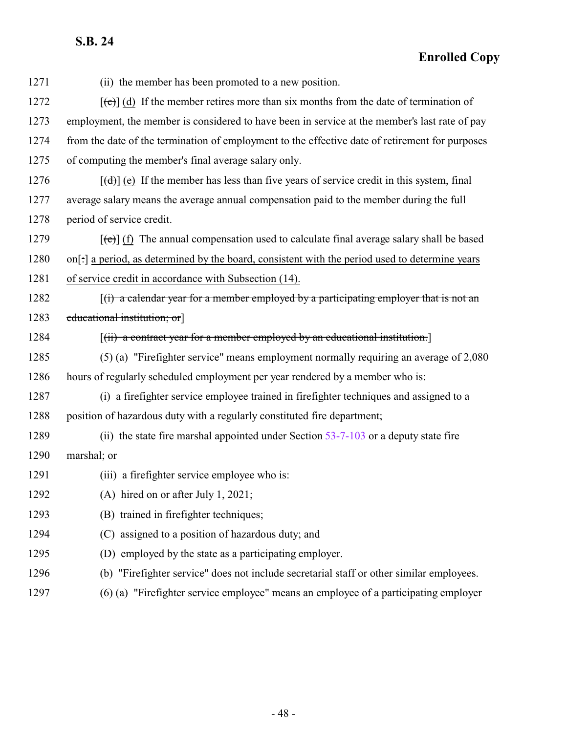| 1271 | (ii) the member has been promoted to a new position.                                                                     |
|------|--------------------------------------------------------------------------------------------------------------------------|
| 1272 | $[\text{e}^{-\lambda}]$ (d) If the member retires more than six months from the date of termination of                   |
| 1273 | employment, the member is considered to have been in service at the member's last rate of pay                            |
| 1274 | from the date of the termination of employment to the effective date of retirement for purposes                          |
| 1275 | of computing the member's final average salary only.                                                                     |
| 1276 | $[\text{td}]$ (e) If the member has less than five years of service credit in this system, final                         |
| 1277 | average salary means the average annual compensation paid to the member during the full                                  |
| 1278 | period of service credit.                                                                                                |
| 1279 | $\left[\left(\mathbf{e}\right)\right]$ (f) The annual compensation used to calculate final average salary shall be based |
| 1280 | on[:] a period, as determined by the board, consistent with the period used to determine years                           |
| 1281 | of service credit in accordance with Subsection (14).                                                                    |
| 1282 | $f(t)$ a calendar year for a member employed by a participating employer that is not an                                  |
| 1283 | educational institution; or                                                                                              |
| 1284 | $\left[\left(\text{ii}\right)$ a contract year for a member employed by an educational institution.                      |
| 1285 | (5) (a) "Firefighter service" means employment normally requiring an average of 2,080                                    |
| 1286 | hours of regularly scheduled employment per year rendered by a member who is:                                            |
| 1287 | (i) a firefighter service employee trained in firefighter techniques and assigned to a                                   |
| 1288 | position of hazardous duty with a regularly constituted fire department;                                                 |
| 1289 | (ii) the state fire marshal appointed under Section 53-7-103 or a deputy state fire                                      |
| 1290 | marshal; or                                                                                                              |
| 1291 | (iii) a firefighter service employee who is:                                                                             |
| 1292 | (A) hired on or after July 1, 2021;                                                                                      |
| 1293 | (B) trained in firefighter techniques;                                                                                   |
| 1294 | (C) assigned to a position of hazardous duty; and                                                                        |
| 1295 | (D) employed by the state as a participating employer.                                                                   |
| 1296 | (b) "Firefighter service" does not include secretarial staff or other similar employees.                                 |
| 1297 | (6) (a) "Firefighter service employee" means an employee of a participating employer                                     |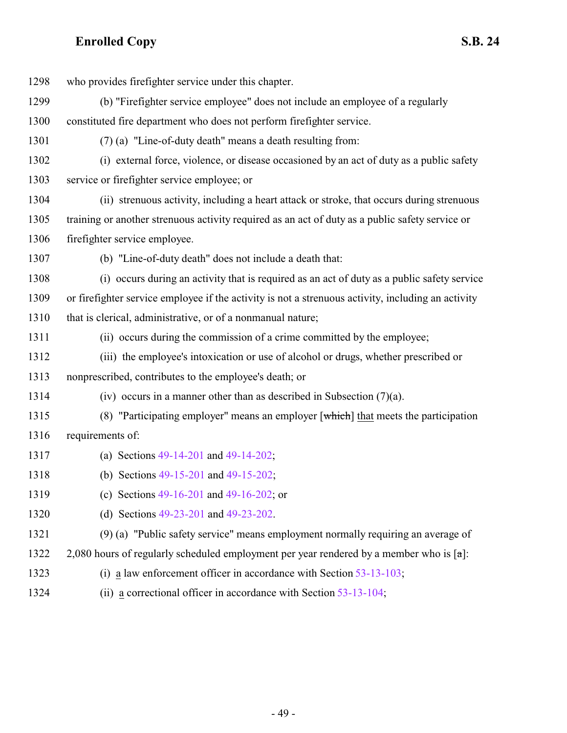| 1298 | who provides firefighter service under this chapter.                                                |
|------|-----------------------------------------------------------------------------------------------------|
| 1299 | (b) "Firefighter service employee" does not include an employee of a regularly                      |
| 1300 | constituted fire department who does not perform firefighter service.                               |
| 1301 | (7) (a) "Line-of-duty death" means a death resulting from:                                          |
| 1302 | (i) external force, violence, or disease occasioned by an act of duty as a public safety            |
| 1303 | service or firefighter service employee; or                                                         |
| 1304 | (ii) strenuous activity, including a heart attack or stroke, that occurs during strenuous           |
| 1305 | training or another strenuous activity required as an act of duty as a public safety service or     |
| 1306 | firefighter service employee.                                                                       |
| 1307 | (b) "Line-of-duty death" does not include a death that:                                             |
| 1308 | (i) occurs during an activity that is required as an act of duty as a public safety service         |
| 1309 | or firefighter service employee if the activity is not a strenuous activity, including an activity  |
| 1310 | that is clerical, administrative, or of a nonmanual nature;                                         |
| 1311 | (ii) occurs during the commission of a crime committed by the employee;                             |
| 1312 | (iii) the employee's intoxication or use of alcohol or drugs, whether prescribed or                 |
| 1313 | nonprescribed, contributes to the employee's death; or                                              |
| 1314 | (iv) occurs in a manner other than as described in Subsection $(7)(a)$ .                            |
| 1315 | (8) "Participating employer" means an employer $\lceil$ which $\rceil$ that meets the participation |
| 1316 | requirements of:                                                                                    |
| 1317 | (a) Sections $49-14-201$ and $49-14-202$ ;                                                          |
| 1318 | (b) Sections 49-15-201 and 49-15-202;                                                               |
| 1319 | (c) Sections $49-16-201$ and $49-16-202$ ; or                                                       |
| 1320 | (d) Sections 49-23-201 and 49-23-202.                                                               |
| 1321 | (9) (a) "Public safety service" means employment normally requiring an average of                   |
| 1322 | 2,080 hours of regularly scheduled employment per year rendered by a member who is $[\pi]$ :        |
| 1323 | (i) a law enforcement officer in accordance with Section $53-13-103$ ;                              |
| 1324 | (ii) a correctional officer in accordance with Section $53-13-104$ ;                                |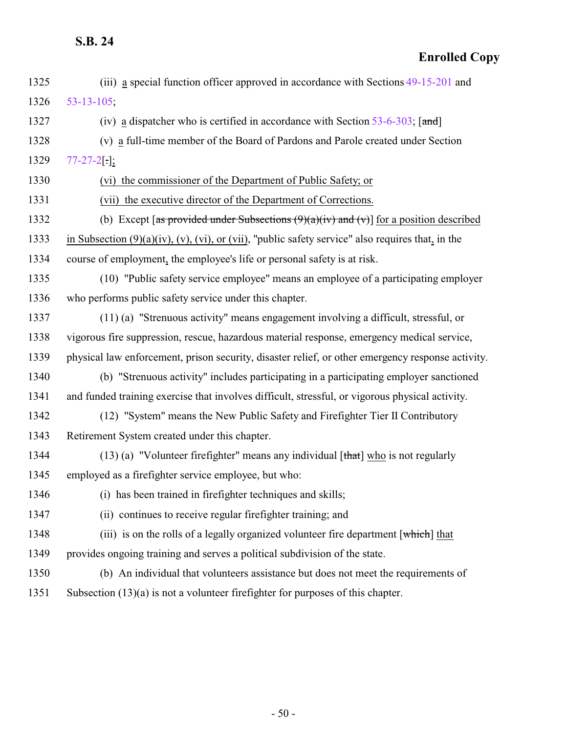| 1325 | (iii) a special function officer approved in accordance with Sections 49-15-201 and                           |
|------|---------------------------------------------------------------------------------------------------------------|
| 1326 | $53 - 13 - 105$ ;                                                                                             |
| 1327 | (iv) a dispatcher who is certified in accordance with Section $53-6-303$ ; [and]                              |
| 1328 | (v) a full-time member of the Board of Pardons and Parole created under Section                               |
| 1329 | $77 - 27 - 2$ [.];                                                                                            |
| 1330 | (vi) the commissioner of the Department of Public Safety; or                                                  |
| 1331 | (vii) the executive director of the Department of Corrections.                                                |
| 1332 | (b) Except [as provided under Subsections $(9)(a)(iv)$ and $(v)$ ] for a position described                   |
| 1333 | in Subsection $(9)(a)(iv)$ , $(v)$ , $(vi)$ , or $(vii)$ , "public safety service" also requires that, in the |
| 1334 | course of employment, the employee's life or personal safety is at risk.                                      |
| 1335 | (10) "Public safety service employee" means an employee of a participating employer                           |
| 1336 | who performs public safety service under this chapter.                                                        |
| 1337 | (11) (a) "Strenuous activity" means engagement involving a difficult, stressful, or                           |
| 1338 | vigorous fire suppression, rescue, hazardous material response, emergency medical service,                    |
| 1339 | physical law enforcement, prison security, disaster relief, or other emergency response activity.             |
| 1340 | (b) "Strenuous activity" includes participating in a participating employer sanctioned                        |
| 1341 | and funded training exercise that involves difficult, stressful, or vigorous physical activity.               |
| 1342 | (12) "System" means the New Public Safety and Firefighter Tier II Contributory                                |
| 1343 | Retirement System created under this chapter.                                                                 |
| 1344 | $(13)$ (a) "Volunteer firefighter" means any individual [that] who is not regularly                           |
| 1345 | employed as a firefighter service employee, but who:                                                          |
| 1346 | (i) has been trained in firefighter techniques and skills;                                                    |
| 1347 | (ii) continues to receive regular firefighter training; and                                                   |
| 1348 | (iii) is on the rolls of a legally organized volunteer fire department $\lceil$ which $\rceil$ that           |
| 1349 | provides ongoing training and serves a political subdivision of the state.                                    |
| 1350 | (b) An individual that volunteers assistance but does not meet the requirements of                            |
| 1351 | Subsection $(13)(a)$ is not a volunteer firefighter for purposes of this chapter.                             |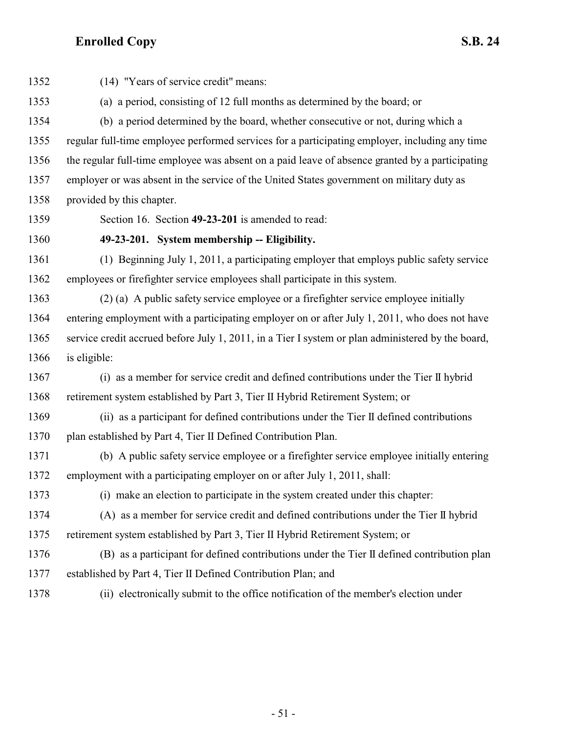<span id="page-50-0"></span> (14) "Years of service credit" means: (a) a period, consisting of 12 full months as determined by the board; or (b) a period determined by the board, whether consecutive or not, during which a regular full-time employee performed services for a participating employer, including any time the regular full-time employee was absent on a paid leave of absence granted by a participating employer or was absent in the service of the United States government on military duty as provided by this chapter. Section 16. Section **49-23-201** is amended to read: **49-23-201. System membership -- Eligibility.** (1) Beginning July 1, 2011, a participating employer that employs public safety service employees or firefighter service employees shall participate in this system. (2) (a) A public safety service employee or a firefighter service employee initially entering employment with a participating employer on or after July 1, 2011, who does not have service credit accrued before July 1, 2011, in a Tier I system or plan administered by the board, is eligible: (i) as a member for service credit and defined contributions under the Tier II hybrid retirement system established by Part 3, Tier II Hybrid Retirement System; or (ii) as a participant for defined contributions under the Tier II defined contributions plan established by Part 4, Tier II Defined Contribution Plan. (b) A public safety service employee or a firefighter service employee initially entering employment with a participating employer on or after July 1, 2011, shall: (i) make an election to participate in the system created under this chapter: (A) as a member for service credit and defined contributions under the Tier II hybrid retirement system established by Part 3, Tier II Hybrid Retirement System; or (B) as a participant for defined contributions under the Tier II defined contribution plan established by Part 4, Tier II Defined Contribution Plan; and (ii) electronically submit to the office notification of the member's election under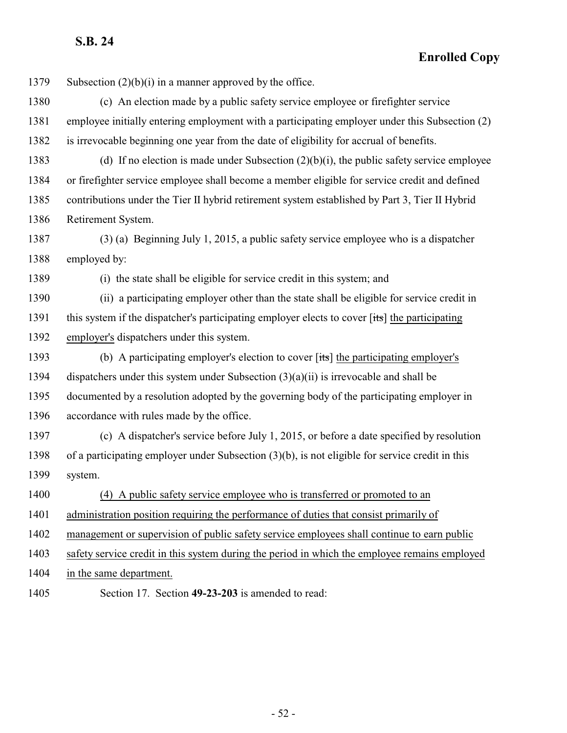**Enrolled Copy**

Subsection (2)(b)(i) in a manner approved by the office.

 (c) An election made by a public safety service employee or firefighter service employee initially entering employment with a participating employer under this Subsection (2) is irrevocable beginning one year from the date of eligibility for accrual of benefits.

 (d) If no election is made under Subsection (2)(b)(i), the public safety service employee or firefighter service employee shall become a member eligible for service credit and defined contributions under the Tier II hybrid retirement system established by Part 3, Tier II Hybrid Retirement System.

 (3) (a) Beginning July 1, 2015, a public safety service employee who is a dispatcher employed by:

(i) the state shall be eligible for service credit in this system; and

 (ii) a participating employer other than the state shall be eligible for service credit in 1391 this system if the dispatcher's participating employer elects to cover [its] the participating employer's dispatchers under this system.

 (b) A participating employer's election to cover [its] the participating employer's dispatchers under this system under Subsection (3)(a)(ii) is irrevocable and shall be documented by a resolution adopted by the governing body of the participating employer in accordance with rules made by the office.

 (c) A dispatcher's service before July 1, 2015, or before a date specified by resolution of a participating employer under Subsection (3)(b), is not eligible for service credit in this system.

(4) A public safety service employee who is transferred or promoted to an

administration position requiring the performance of duties that consist primarily of

management or supervision of public safety service employees shall continue to earn public

safety service credit in this system during the period in which the employee remains employed

in the same department.

<span id="page-51-0"></span>Section 17. Section **49-23-203** is amended to read: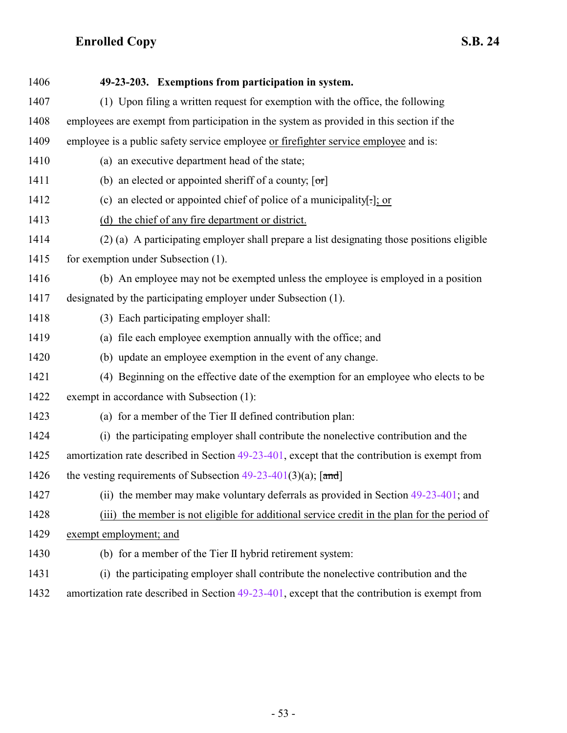| 1406 | 49-23-203. Exemptions from participation in system.                                              |
|------|--------------------------------------------------------------------------------------------------|
| 1407 | (1) Upon filing a written request for exemption with the office, the following                   |
| 1408 | employees are exempt from participation in the system as provided in this section if the         |
| 1409 | employee is a public safety service employee or firefighter service employee and is:             |
| 1410 | (a) an executive department head of the state;                                                   |
| 1411 | (b) an elected or appointed sheriff of a county; $[\sigma r]$                                    |
| 1412 | (c) an elected or appointed chief of police of a municipality[.]; or                             |
| 1413 | (d) the chief of any fire department or district.                                                |
| 1414 | (2) (a) A participating employer shall prepare a list designating those positions eligible       |
| 1415 | for exemption under Subsection (1).                                                              |
| 1416 | (b) An employee may not be exempted unless the employee is employed in a position                |
| 1417 | designated by the participating employer under Subsection (1).                                   |
| 1418 | (3) Each participating employer shall:                                                           |
| 1419 | (a) file each employee exemption annually with the office; and                                   |
| 1420 | (b) update an employee exemption in the event of any change.                                     |
| 1421 | (4) Beginning on the effective date of the exemption for an employee who elects to be            |
| 1422 | exempt in accordance with Subsection (1):                                                        |
| 1423 | (a) for a member of the Tier II defined contribution plan:                                       |
| 1424 | (i) the participating employer shall contribute the nonelective contribution and the             |
| 1425 | amortization rate described in Section $49-23-401$ , except that the contribution is exempt from |
| 1426 | the vesting requirements of Subsection $49-23-401(3)(a)$ ; [and]                                 |
| 1427 | (ii) the member may make voluntary deferrals as provided in Section 49-23-401; and               |
| 1428 | (iii) the member is not eligible for additional service credit in the plan for the period of     |
| 1429 | exempt employment; and                                                                           |
| 1430 | (b) for a member of the Tier II hybrid retirement system:                                        |
| 1431 | (i) the participating employer shall contribute the nonelective contribution and the             |
| 1432 | amortization rate described in Section $49-23-401$ , except that the contribution is exempt from |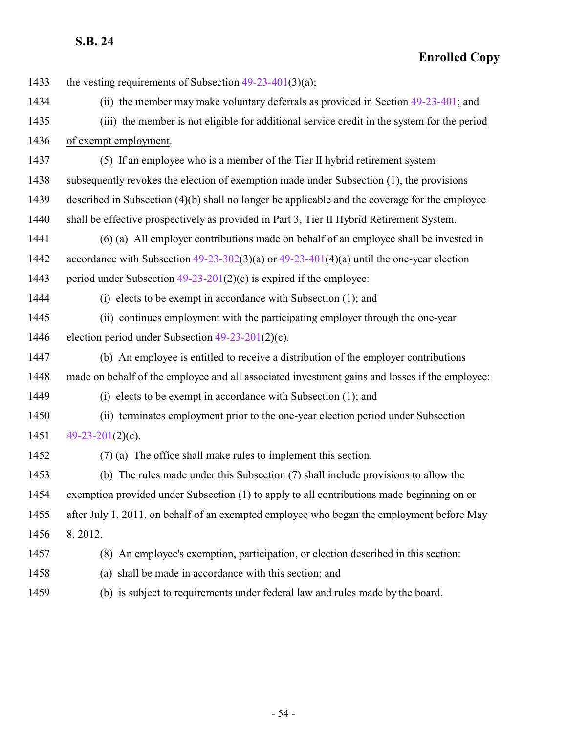**Enrolled Copy**

| 1433 | the vesting requirements of Subsection $49-23-401(3)(a)$ ;                                     |
|------|------------------------------------------------------------------------------------------------|
| 1434 | (ii) the member may make voluntary deferrals as provided in Section $49-23-401$ ; and          |
| 1435 | (iii) the member is not eligible for additional service credit in the system for the period    |
| 1436 | of exempt employment.                                                                          |
| 1437 | (5) If an employee who is a member of the Tier II hybrid retirement system                     |
| 1438 | subsequently revokes the election of exemption made under Subsection (1), the provisions       |
| 1439 | described in Subsection (4)(b) shall no longer be applicable and the coverage for the employee |
| 1440 | shall be effective prospectively as provided in Part 3, Tier II Hybrid Retirement System.      |
| 1441 | (6) (a) All employer contributions made on behalf of an employee shall be invested in          |
| 1442 | accordance with Subsection $49-23-302(3)(a)$ or $49-23-401(4)(a)$ until the one-year election  |
| 1443 | period under Subsection $49-23-201(2)(c)$ is expired if the employee:                          |
| 1444 | $(i)$ elects to be exempt in accordance with Subsection $(1)$ ; and                            |
| 1445 | (ii) continues employment with the participating employer through the one-year                 |
| 1446 | election period under Subsection $49-23-201(2)(c)$ .                                           |
| 1447 | (b) An employee is entitled to receive a distribution of the employer contributions            |
| 1448 | made on behalf of the employee and all associated investment gains and losses if the employee: |
| 1449 | (i) elects to be exempt in accordance with Subsection $(1)$ ; and                              |
| 1450 | (ii) terminates employment prior to the one-year election period under Subsection              |
| 1451 | 49-23-201 $(2)(c)$ .                                                                           |
| 1452 | $(7)$ (a) The office shall make rules to implement this section.                               |
| 1453 | (b) The rules made under this Subsection (7) shall include provisions to allow the             |
| 1454 | exemption provided under Subsection (1) to apply to all contributions made beginning on or     |
| 1455 | after July 1, 2011, on behalf of an exempted employee who began the employment before May      |
| 1456 | 8, 2012.                                                                                       |
| 1457 | (8) An employee's exemption, participation, or election described in this section:             |
| 1458 | (a) shall be made in accordance with this section; and                                         |

(b) is subject to requirements under federal law and rules made by the board.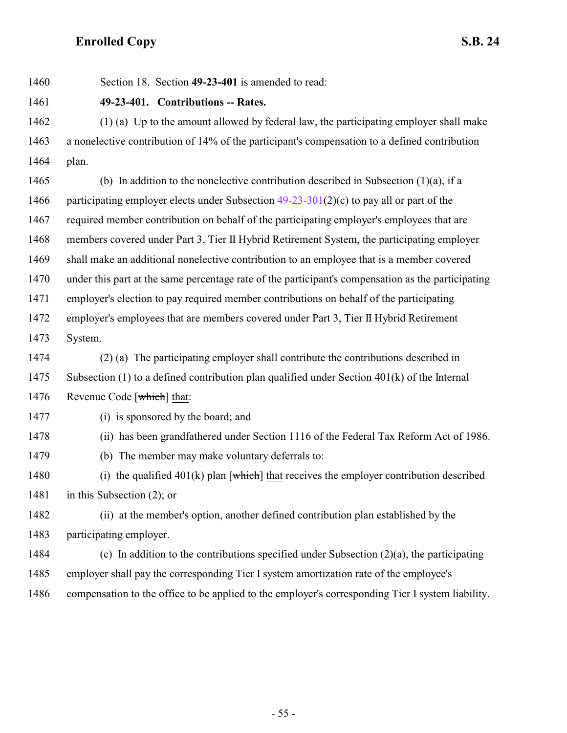<span id="page-54-0"></span>

Section 18. Section **49-23-401** is amended to read:

**49-23-401. Contributions -- Rates.**

 (1) (a) Up to the amount allowed by federal law, the participating employer shall make a nonelective contribution of 14% of the participant's compensation to a defined contribution plan.

 (b) In addition to the nonelective contribution described in Subsection (1)(a), if a 1466 participating employer elects under Subsection  $49-23-301(2)(c)$  to pay all or part of the required member contribution on behalf of the participating employer's employees that are members covered under Part 3, Tier II Hybrid Retirement System, the participating employer shall make an additional nonelective contribution to an employee that is a member covered under this part at the same percentage rate of the participant's compensation as the participating employer's election to pay required member contributions on behalf of the participating employer's employees that are members covered under Part 3, Tier II Hybrid Retirement System.

 (2) (a) The participating employer shall contribute the contributions described in Subsection (1) to a defined contribution plan qualified under Section 401(k) of the Internal 1476 Revenue Code [which] that:

(i) is sponsored by the board; and

(ii) has been grandfathered under Section 1116 of the Federal Tax Reform Act of 1986.

(b) The member may make voluntary deferrals to:

1480 (i) the qualified  $401(k)$  plan [which] that receives the employer contribution described 1481 in this Subsection (2); or

 (ii) at the member's option, another defined contribution plan established by the participating employer.

1484 (c) In addition to the contributions specified under Subsection  $(2)(a)$ , the participating employer shall pay the corresponding Tier I system amortization rate of the employee's compensation to the office to be applied to the employer's corresponding Tier I system liability.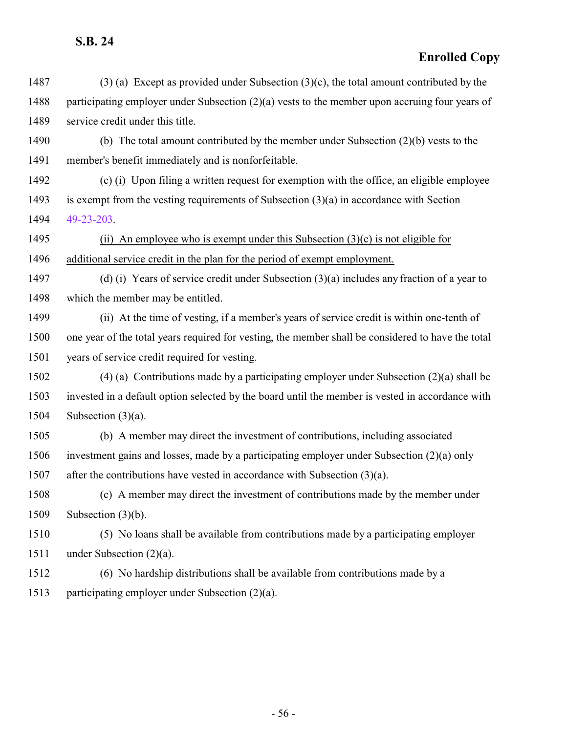| 1487 | $(3)$ (a) Except as provided under Subsection $(3)(c)$ , the total amount contributed by the       |
|------|----------------------------------------------------------------------------------------------------|
| 1488 | participating employer under Subsection $(2)(a)$ vests to the member upon accruing four years of   |
| 1489 | service credit under this title.                                                                   |
| 1490 | (b) The total amount contributed by the member under Subsection $(2)(b)$ vests to the              |
| 1491 | member's benefit immediately and is nonforfeitable.                                                |
| 1492 | (c) (i) Upon filing a written request for exemption with the office, an eligible employee          |
| 1493 | is exempt from the vesting requirements of Subsection $(3)(a)$ in accordance with Section          |
| 1494 | 49-23-203                                                                                          |
| 1495 | (ii) An employee who is exempt under this Subsection $(3)(c)$ is not eligible for                  |
| 1496 | additional service credit in the plan for the period of exempt employment.                         |
| 1497 | (d) (i) Years of service credit under Subsection $(3)(a)$ includes any fraction of a year to       |
| 1498 | which the member may be entitled.                                                                  |
| 1499 | (ii) At the time of vesting, if a member's years of service credit is within one-tenth of          |
| 1500 | one year of the total years required for vesting, the member shall be considered to have the total |
| 1501 | years of service credit required for vesting.                                                      |
| 1502 | $(4)$ (a) Contributions made by a participating employer under Subsection $(2)(a)$ shall be        |
| 1503 | invested in a default option selected by the board until the member is vested in accordance with   |
| 1504 | Subsection $(3)(a)$ .                                                                              |
| 1505 | (b) A member may direct the investment of contributions, including associated                      |
| 1506 | investment gains and losses, made by a participating employer under Subsection (2)(a) only         |
| 1507 | after the contributions have vested in accordance with Subsection $(3)(a)$ .                       |
| 1508 | (c) A member may direct the investment of contributions made by the member under                   |
| 1509 | Subsection $(3)(b)$ .                                                                              |
| 1510 | (5) No loans shall be available from contributions made by a participating employer                |
| 1511 | under Subsection $(2)(a)$ .                                                                        |
| 1512 | (6) No hardship distributions shall be available from contributions made by a                      |
| 1513 | participating employer under Subsection (2)(a).                                                    |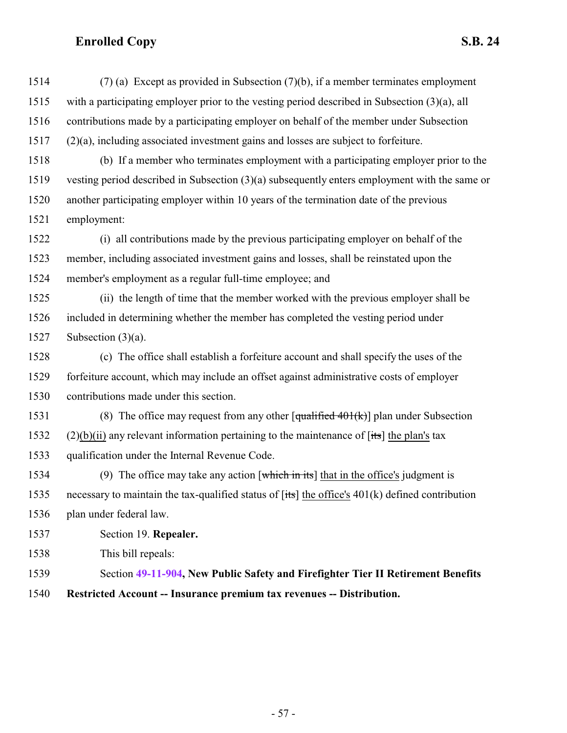(7) (a) Except as provided in Subsection (7)(b), if a member terminates employment with a participating employer prior to the vesting period described in Subsection (3)(a), all contributions made by a participating employer on behalf of the member under Subsection (2)(a), including associated investment gains and losses are subject to forfeiture.

 (b) If a member who terminates employment with a participating employer prior to the vesting period described in Subsection (3)(a) subsequently enters employment with the same or another participating employer within 10 years of the termination date of the previous employment:

 (i) all contributions made by the previous participating employer on behalf of the member, including associated investment gains and losses, shall be reinstated upon the member's employment as a regular full-time employee; and

 (ii) the length of time that the member worked with the previous employer shall be included in determining whether the member has completed the vesting period under Subsection (3)(a).

 (c) The office shall establish a forfeiture account and shall specify the uses of the forfeiture account, which may include an offset against administrative costs of employer contributions made under this section.

1531 (8) The office may request from any other  $\left[\frac{\text{qualified }401(k)}{\text{d}}\right]$  plan under Subsection (2)(b)(ii) any relevant information pertaining to the maintenance of [its] the plan's tax qualification under the Internal Revenue Code.

1534 (9) The office may take any action  $[$ which in its<sup>†</sup> that in the office's judgment is necessary to maintain the tax-qualified status of [its] the office's 401(k) defined contribution plan under federal law.

Section 19. **Repealer.**

This bill repeals:

- Section **[49-11-904](http://le.utah.gov/UtahCode/SectionLookup.jsp?section=49-11-904&session=2022GS), New Public Safety and Firefighter Tier II Retirement Benefits**
- **Restricted Account -- Insurance premium tax revenues -- Distribution.**